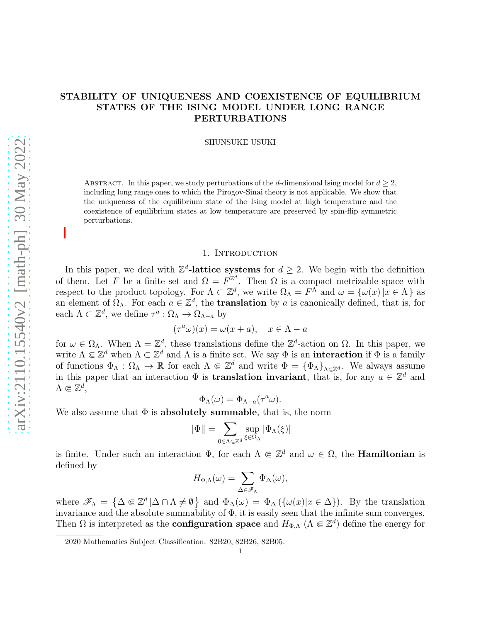# STABILITY OF UNIQUENESS AND COEXISTENCE OF EQUILIBRIUM STATES OF THE ISING MODEL UNDER LONG RANGE PERTURBATIONS

SHUNSUKE USUKI

ABSTRACT. In this paper, we study perturbations of the d-dimensional Ising model for  $d \geq 2$ , including long range ones to which the Pirogov-Sinai theory is not applicable. We show that the uniqueness of the equilibrium state of the Ising model at high temperature and the coexistence of equilibrium states at low temperature are preserved by spin-flip symmetric perturbations.

## 1. INTRODUCTION

In this paper, we deal with  $\mathbb{Z}^d$ -lattice systems for  $d \geq 2$ . We begin with the definition of them. Let F be a finite set and  $\Omega = F^{\mathbb{Z}^d}$ . Then  $\Omega$  is a compact metrizable space with respect to the product topology. For  $\Lambda \subset \mathbb{Z}^d$ , we write  $\Omega_{\Lambda} = F^{\Lambda}$  and  $\omega = {\omega(x) | x \in \Lambda}$  as an element of  $\Omega_{\Lambda}$ . For each  $a \in \mathbb{Z}^d$ , the **translation** by a is canonically defined, that is, for each  $\Lambda \subset \mathbb{Z}^d$ , we define  $\tau^a : \Omega_\Lambda \to \Omega_{\Lambda - a}$  by

$$
(\tau^a \omega)(x) = \omega(x+a), \quad x \in \Lambda - a
$$

for  $\omega \in \Omega_{\Lambda}$ . When  $\Lambda = \mathbb{Z}^d$ , these translations define the  $\mathbb{Z}^d$ -action on  $\Omega$ . In this paper, we write  $\Lambda \subset \mathbb{Z}^d$  when  $\Lambda \subset \mathbb{Z}^d$  and  $\Lambda$  is a finite set. We say  $\Phi$  is an **interaction** if  $\Phi$  is a family of functions  $\Phi_{\Lambda} : \Omega_{\Lambda} \to \mathbb{R}$  for each  $\Lambda \Subset \mathbb{Z}^d$  and write  $\Phi = {\Phi_{\Lambda}}_{\Lambda \Subset \mathbb{Z}^d}$ . We always assume in this paper that an interaction  $\Phi$  is **translation invariant**, that is, for any  $a \in \mathbb{Z}^d$  and  $\Lambda \Subset \mathbb{Z}^d$ ,

$$
\Phi_{\Lambda}(\omega) = \Phi_{\Lambda - a}(\tau^a \omega).
$$

We also assume that  $\Phi$  is **absolutely summable**, that is, the norm

$$
\|\Phi\|=\sum_{0\in\Lambda\Subset\mathbb{Z}^d}\sup_{\xi\in\Omega_\Lambda}|\Phi_\Lambda(\xi)|
$$

is finite. Under such an interaction  $\Phi$ , for each  $\Lambda \in \mathbb{Z}^d$  and  $\omega \in \Omega$ , the **Hamiltonian** is defined by

$$
H_{\Phi,\Lambda}(\omega)=\sum_{\Delta\in\mathscr{F}_\Lambda}\Phi_\Delta(\omega),
$$

where  $\mathscr{F}_{\Lambda} = \{ \Delta \in \mathbb{Z}^d | \Delta \cap \Lambda \neq \emptyset \}$  and  $\Phi_{\Delta}(\omega) = \Phi_{\Delta}(\{\omega(x)|x \in \Delta\})$ . By the translation invariance and the absolute summability of Φ, it is easily seen that the infinite sum converges. Then  $\Omega$  is interpreted as the **configuration space** and  $H_{\Phi,\Lambda}$  ( $\Lambda \in \mathbb{Z}^d$ ) define the energy for

<sup>2020</sup> Mathematics Subject Classification. 82B20, 82B26, 82B05.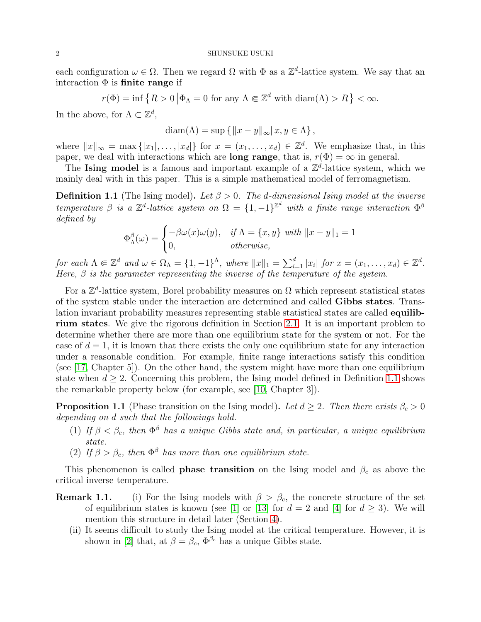each configuration  $\omega \in \Omega$ . Then we regard  $\Omega$  with  $\Phi$  as a  $\mathbb{Z}^d$ -lattice system. We say that an interaction  $\Phi$  is finite range if

$$
r(\Phi) = \inf \{ R > 0 \mid \Phi_{\Lambda} = 0 \text{ for any } \Lambda \Subset \mathbb{Z}^d \text{ with } \text{diam}(\Lambda) > R \} < \infty.
$$

In the above, for  $\Lambda \subset \mathbb{Z}^d$ ,

$$
diam(\Lambda) = sup \{ ||x - y||_{\infty} | x, y \in \Lambda \},\
$$

where  $||x||_{\infty} = \max\{|x_1|, \ldots, |x_d|\}$  for  $x = (x_1, \ldots, x_d) \in \mathbb{Z}^d$ . We emphasize that, in this paper, we deal with interactions which are **long range**, that is,  $r(\Phi) = \infty$  in general.

The Ising model is a famous and important example of a  $\mathbb{Z}^d$ -lattice system, which we mainly deal with in this paper. This is a simple mathematical model of ferromagnetism.

<span id="page-1-0"></span>**Definition 1.1** (The Ising model). Let  $\beta > 0$ . The d-dimensional Ising model at the inverse temperature  $\beta$  is a  $\mathbb{Z}^d$ -lattice system on  $\Omega = \{1, -1\}^{\mathbb{Z}^d}$  with a finite range interaction  $\Phi^{\beta}$ defined by

$$
\Phi_{\Lambda}^{\beta}(\omega) = \begin{cases}\n-\beta\omega(x)\omega(y), & \text{if } \Lambda = \{x, y\} \text{ with } ||x - y||_1 = 1 \\
0, & \text{otherwise,} \n\end{cases}
$$

for each  $\Lambda \subseteq \mathbb{Z}^d$  and  $\omega \in \Omega_{\Lambda} = \{1, -1\}^{\Lambda}$ , where  $||x||_1 = \sum_{i=1}^d |x_i|$  for  $x = (x_1, \ldots, x_d) \in \mathbb{Z}^d$ . Here,  $\beta$  is the parameter representing the inverse of the temperature of the system.

For a  $\mathbb{Z}^d$ -lattice system, Borel probability measures on  $\Omega$  which represent statistical states of the system stable under the interaction are determined and called Gibbs states. Translation invariant probability measures representing stable statistical states are called equilibrium states. We give the rigorous definition in Section [2.1.](#page-3-0) It is an important problem to determine whether there are more than one equilibrium state for the system or not. For the case of  $d = 1$ , it is known that there exists the only one equilibrium state for any interaction under a reasonable condition. For example, finite range interactions satisfy this condition (see [\[17,](#page-19-0) Chapter 5]). On the other hand, the system might have more than one equilibrium state when  $d \geq 2$ . Concerning this problem, the Ising model defined in Definition [1.1](#page-1-0) shows the remarkable property below (for example, see [\[10,](#page-19-1) Chapter 3]).

**Proposition 1.1** (Phase transition on the Ising model). Let  $d \geq 2$ . Then there exists  $\beta_c > 0$ depending on d such that the followings hold.

- (1) If  $\beta < \beta_c$ , then  $\Phi^{\beta}$  has a unique Gibbs state and, in particular, a unique equilibrium state.
- (2) If  $\beta > \beta_c$ , then  $\Phi^{\beta}$  has more than one equilibrium state.

This phenomenon is called **phase transition** on the Ising model and  $\beta_c$  as above the critical inverse temperature.

- **Remark 1.1.** (i) For the Ising models with  $\beta > \beta_c$ , the concrete structure of the set of equilibrium states is known (see [\[1\]](#page-19-2) or [\[13\]](#page-19-3) for  $d = 2$  and [\[4\]](#page-19-4) for  $d \geq 3$ ). We will mention this structure in detail later (Section [4\)](#page-17-0).
	- (ii) It seems difficult to study the Ising model at the critical temperature. However, it is shown in [\[2\]](#page-19-5) that, at  $\beta = \beta_c$ ,  $\Phi^{\beta_c}$  has a unique Gibbs state.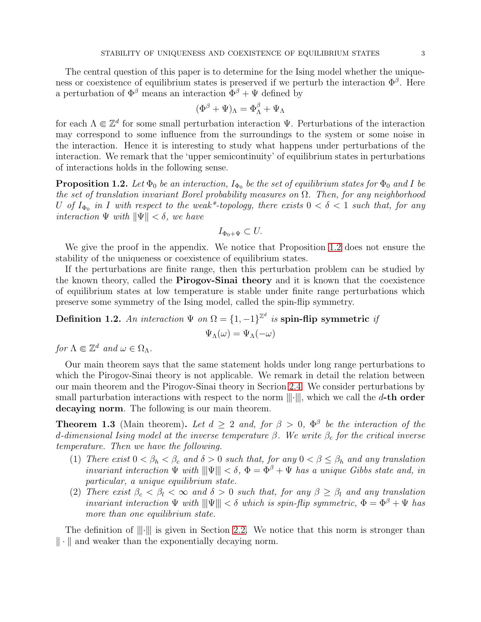The central question of this paper is to determine for the Ising model whether the uniqueness or coexistence of equilibrium states is preserved if we perturb the interaction  $\Phi^{\beta}$ . Here a perturbation of  $\Phi^{\beta}$  means an interaction  $\Phi^{\beta} + \Psi$  defined by

$$
(\Phi^{\beta} + \Psi)_{\Lambda} = \Phi^{\beta}_{\Lambda} + \Psi_{\Lambda}
$$

for each  $\Lambda \Subset \mathbb{Z}^d$  for some small perturbation interaction  $\Psi$ . Perturbations of the interaction may correspond to some influence from the surroundings to the system or some noise in the interaction. Hence it is interesting to study what happens under perturbations of the interaction. We remark that the 'upper semicontinuity' of equilibrium states in perturbations of interactions holds in the following sense.

<span id="page-2-0"></span>**Proposition 1.2.** Let  $\Phi_0$  be an interaction,  $I_{\Phi_0}$  be the set of equilibrium states for  $\Phi_0$  and I be the set of translation invariant Borel probability measures on  $\Omega$ . Then, for any neighborhood U of  $I_{\Phi_0}$  in I with respect to the weak\*-topology, there exists  $0 < \delta < 1$  such that, for any interaction  $\Psi$  with  $\|\Psi\| < \delta$ , we have

$$
I_{\Phi_0 + \Psi} \subset U.
$$

We give the proof in the appendix. We notice that Proposition [1.2](#page-2-0) does not ensure the stability of the uniqueness or coexistence of equilibrium states.

If the perturbations are finite range, then this perturbation problem can be studied by the known theory, called the **Pirogov-Sinai theory** and it is known that the coexistence of equilibrium states at low temperature is stable under finite range perturbations which preserve some symmetry of the Ising model, called the spin-flip symmetry.

Definition 1.2. An interaction  $\Psi$  on  $\Omega = \{1, -1\}^{\mathbb{Z}^d}$  is spin-flip symmetric if

$$
\Psi_\Lambda(\omega)=\Psi_\Lambda(-\omega)
$$

for  $\Lambda \Subset \mathbb{Z}^d$  and  $\omega \in \Omega_{\Lambda}$ .

Our main theorem says that the same statement holds under long range perturbations to which the Pirogov-Sinai theory is not applicable. We remark in detail the relation between our main theorem and the Pirogov-Sinai theory in Secrion [2.4.](#page-7-0) We consider perturbations by small parturbation interactions with respect to the norm  $\|\cdot\|$ , which we call the d-th order decaying norm. The following is our main theorem.

<span id="page-2-1"></span>**Theorem 1.3** (Main theorem). Let  $d \geq 2$  and, for  $\beta > 0$ ,  $\Phi^{\beta}$  be the interaction of the d-dimensional Ising model at the inverse temperature  $\beta$ . We write  $\beta_c$  for the critical inverse temperature. Then we have the following.

- (1) There exist  $0 < \beta_h < \beta_c$  and  $\delta > 0$  such that, for any  $0 < \beta \leq \beta_h$  and any translation invariant interaction  $\Psi$  with  $\|\Psi\| < \delta$ ,  $\Phi = \Phi^{\beta} + \Psi$  has a unique Gibbs state and, in particular, a unique equilibrium state.
- (2) There exist  $\beta_c < \beta_l < \infty$  and  $\delta > 0$  such that, for any  $\beta \geq \beta_l$  and any translation invariant interaction  $\Psi$  with  $\|\Psi\| < \delta$  which is spin-flip symmetric,  $\Phi = \Phi^{\beta} + \Psi$  has more than one equilibrium state.

The definition of  $\|\cdot\|$  is given in Section [2.2.](#page-5-0) We notice that this norm is stronger than  $\|\cdot\|$  and weaker than the exponentially decaying norm.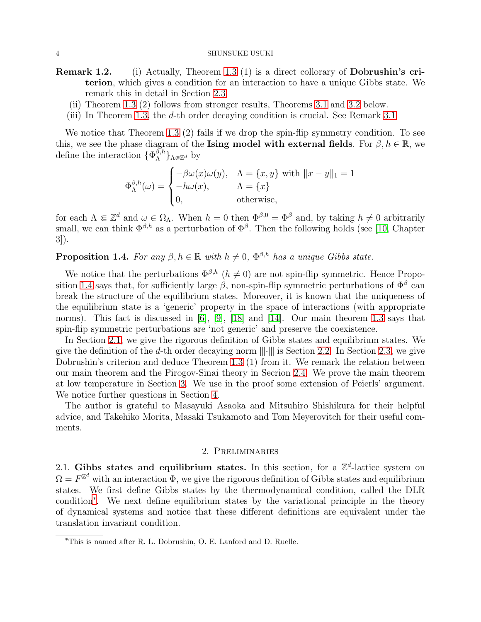### 4 SHUNSUKE USUKI

- Remark 1.2. (i) Actually, Theorem [1.3](#page-2-1) (1) is a direct collorary of Dobrushin's criterion, which gives a condition for an interaction to have a unique Gibbs state. We remark this in detail in Section [2.3.](#page-6-0)
	- (ii) Theorem [1.3](#page-2-1) (2) follows from stronger results, Theorems [3.1](#page-8-0) and [3.2](#page-8-1) below.
	- (iii) In Theorem [1.3,](#page-2-1) the d-th order decaying condition is crucial. See Remark [3.1.](#page-17-1)

We notice that Theorem [1.3](#page-2-1) (2) fails if we drop the spin-flip symmetry condition. To see this, we see the phase diagram of the Ising model with external fields. For  $\beta, h \in \mathbb{R}$ , we define the interaction  $\{\Phi_{\Lambda}^{\beta,h}$  ${}_{\Lambda}^{\beta,n}$ }<sub>Λ∈Ζ</sub><sup>*d*</sup> by

$$
\Phi_{\Lambda}^{\beta,h}(\omega) = \begin{cases}\n-\beta\omega(x)\omega(y), & \Lambda = \{x,y\} \text{ with } ||x-y||_1 = 1 \\
-h\omega(x), & \Lambda = \{x\} \\
0, & \text{otherwise,} \n\end{cases}
$$

for each  $\Lambda \Subset \mathbb{Z}^d$  and  $\omega \in \Omega_{\Lambda}$ . When  $h = 0$  then  $\Phi^{\beta,0} = \Phi^{\beta}$  and, by taking  $h \neq 0$  arbitrarily small, we can think  $\Phi^{\beta,h}$  as a perturbation of  $\Phi^{\beta}$ . Then the following holds (see [\[10,](#page-19-1) Chapter 3]).

<span id="page-3-1"></span>**Proposition 1.4.** For any  $\beta, h \in \mathbb{R}$  with  $h \neq 0$ ,  $\Phi^{\beta,h}$  has a unique Gibbs state.

We notice that the perturbations  $\Phi^{\beta,h}$  ( $h \neq 0$ ) are not spin-flip symmetric. Hence Propo-sition [1.4](#page-3-1) says that, for sufficiently large  $\beta$ , non-spin-flip symmetric perturbations of  $\Phi^{\beta}$  can break the structure of the equilibrium states. Moreover, it is known that the uniqueness of the equilibrium state is a 'generic' property in the space of interactions (with appropriate norms). This fact is discussed in [\[6\]](#page-19-6), [\[9\]](#page-19-7), [\[18\]](#page-19-8) and [\[14\]](#page-19-9). Our main theorem [1.3](#page-2-1) says that spin-flip symmetric perturbations are 'not generic' and preserve the coexistence.

In Section [2.1,](#page-3-0) we give the rigorous definition of Gibbs states and equilibrium states. We give the definition of the d-th order decaying norm  $\|\cdot\|$  is Section [2.2.](#page-5-0) In Section [2.3,](#page-6-0) we give Dobrushin's criterion and deduce Theorem [1.3](#page-2-1) (1) from it. We remark the relation between our main theorem and the Pirogov-Sinai theory in Secrion [2.4.](#page-7-0) We prove the main theorem at low temperature in Section [3.](#page-8-2) We use in the proof some extension of Peierls' argument. We notice further questions in Section [4.](#page-17-0)

The author is grateful to Masayuki Asaoka and Mitsuhiro Shishikura for their helpful advice, and Takehiko Morita, Masaki Tsukamoto and Tom Meyerovitch for their useful comments.

## 2. Preliminaries

<span id="page-3-0"></span>2.1. Gibbs states and equilibrium states. In this section, for a  $\mathbb{Z}^d$ -lattice system on  $\Omega = F^{\mathbb{Z}^d}$  with an interaction  $\Phi$ , we give the rigorous definition of Gibbs states and equilibrium states. We first define Gibbs states by the thermodynamical condition, called the DLR condition[∗](#page-3-2) . We next define equilibrium states by the variational principle in the theory of dynamical systems and notice that these different definitions are equivalent under the translation invariant condition.

<span id="page-3-2"></span><sup>∗</sup>This is named after R. L. Dobrushin, O. E. Lanford and D. Ruelle.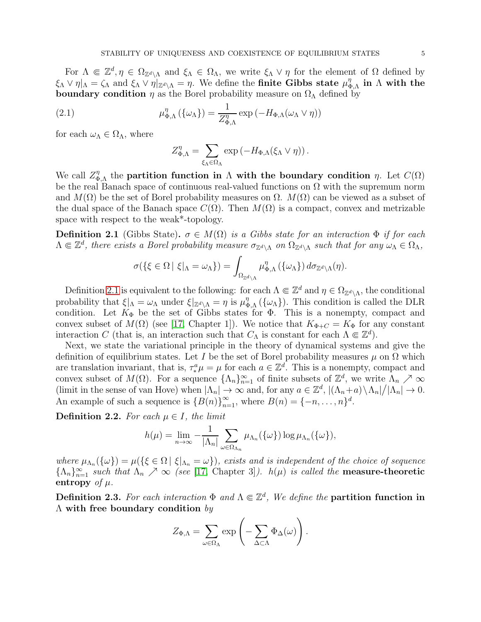For  $\Lambda \in \mathbb{Z}^d, \eta \in \Omega_{\mathbb{Z}^d \setminus \Lambda}$  and  $\xi_{\Lambda} \in \Omega_{\Lambda}$ , we write  $\xi_{\Lambda} \vee \eta$  for the element of  $\Omega$  defined by  $\xi_\Lambda \vee \eta|_\Lambda = \zeta_\Lambda$  and  $\xi_\Lambda \vee \eta|_{\mathbb{Z}^d \setminus \Lambda} = \eta$ . We define the finite Gibbs state  $\mu_q^{\eta}$  $\stackrel{\eta}{\Phi},_\Lambda$  in  $\Lambda$  with the **boundary condition**  $\eta$  as the Borel probability measure on  $\Omega_{\Lambda}$  defined by

(2.1) 
$$
\mu_{\Phi,\Lambda}^{\eta}(\{\omega_{\Lambda}\}) = \frac{1}{Z_{\Phi,\Lambda}^{\eta}} \exp(-H_{\Phi,\Lambda}(\omega_{\Lambda} \vee \eta))
$$

for each  $\omega_{\Lambda} \in \Omega_{\Lambda}$ , where

<span id="page-4-1"></span>
$$
Z_{\Phi,\Lambda}^{\eta} = \sum_{\xi_{\Lambda} \in \Omega_{\Lambda}} \exp \left( -H_{\Phi,\Lambda}(\xi_{\Lambda} \vee \eta) \right).
$$

We call  $Z_{\Phi}^{\eta}$  $\eta_{\Phi,\Lambda}^{\eta}$  the partition function in  $\Lambda$  with the boundary condition  $η$ . Let  $C(\Omega)$ be the real Banach space of continuous real-valued functions on  $\Omega$  with the supremum norm and  $M(\Omega)$  be the set of Borel probability measures on  $\Omega$ .  $M(\Omega)$  can be viewed as a subset of the dual space of the Banach space  $C(\Omega)$ . Then  $M(\Omega)$  is a compact, convex and metrizable space with respect to the weak\*-topology.

<span id="page-4-0"></span>**Definition 2.1** (Gibbs State).  $\sigma \in M(\Omega)$  is a Gibbs state for an interaction  $\Phi$  if for each  $\Lambda \in \mathbb{Z}^d$ , there exists a Borel probability measure  $\sigma_{\mathbb{Z}^d\setminus\Lambda}$  on  $\Omega_{\mathbb{Z}^d\setminus\Lambda}$  such that for any  $\omega_{\Lambda} \in \Omega_{\Lambda}$ ,

$$
\sigma(\{\xi\in\Omega\mid \xi|_{\Lambda}=\omega_{\Lambda}\})=\int_{\Omega_{\mathbb{Z}^d\backslash\Lambda}}\mu_{\Phi,\Lambda}^{\eta}(\{\omega_{\Lambda}\}) d\sigma_{\mathbb{Z}^d\backslash\Lambda}(\eta).
$$

Definition [2.1](#page-4-0) is equivalent to the following: for each  $\Lambda \subseteq \mathbb{Z}^d$  and  $\eta \in \Omega_{\mathbb{Z}^d\setminus\Lambda}$ , the conditional probability that  $\xi|_{\Lambda} = \omega_{\Lambda}$  under  $\xi|_{\mathbb{Z}^d \setminus \Lambda} = \eta$  is  $\mu_q^{\eta}$  ${}_{\Phi,\Lambda}^{\eta}(\{\omega_{\Lambda}\})$ . This condition is called the DLR condition. Let  $K_{\Phi}$  be the set of Gibbs states for  $\Phi$ . This is a nonempty, compact and convex subset of  $M(\Omega)$  (see [\[17,](#page-19-0) Chapter 1]). We notice that  $K_{\Phi+C} = K_{\Phi}$  for any constant interaction C (that is, an interaction such that  $C_{\Lambda}$  is constant for each  $\Lambda \Subset \mathbb{Z}^d$ ).

Next, we state the variational principle in the theory of dynamical systems and give the definition of equilibrium states. Let I be the set of Borel probability measures  $\mu$  on  $\Omega$  which are translation invariant, that is,  $\tau^a_* \mu = \mu$  for each  $a \in \mathbb{Z}^d$ . This is a nonempty, compact and convex subset of  $M(\Omega)$ . For a sequence  $\{\Lambda_n\}_{n=1}^{\infty}$  of finite subsets of  $\mathbb{Z}^d$ , we write  $\Lambda_n \nearrow \infty$ (limit in the sense of van Hove) when  $|\Lambda_n| \to \infty$  and, for any  $a \in \mathbb{Z}^d$ ,  $|(\Lambda_n + a) \setminus \Lambda_n|/|\Lambda_n| \to 0$ . An example of such a sequence is  $\{B(n)\}_{n=1}^{\infty}$ , where  $B(n) = \{-n, \ldots, n\}^d$ .

**Definition 2.2.** For each  $\mu \in I$ , the limit

$$
h(\mu) = \lim_{n \to \infty} -\frac{1}{|\Lambda_n|} \sum_{\omega \in \Omega_{\Lambda_n}} \mu_{\Lambda_n}(\{\omega\}) \log \mu_{\Lambda_n}(\{\omega\}),
$$

where  $\mu_{\Lambda_n}(\{\omega\}) = \mu(\{\xi \in \Omega \mid \xi|_{\Lambda_n} = \omega\})$ , exists and is independent of the choice of sequence  ${\{\Lambda_n\}}_{n=1}^{\infty}$  such that  $\Lambda_n \nearrow \infty$  (see [\[17,](#page-19-0) Chapter 3]).  $h(\mu)$  is called the **measure-theoretic** entropy of  $\mu$ .

Definition 2.3. For each interaction  $\Phi$  and  $\Lambda \Subset \mathbb{Z}^d$ , We define the partition function in  $\Lambda$  with free boundary condition by

$$
Z_{\Phi,\Lambda} = \sum_{\omega \in \Omega_\Lambda} \exp \left( - \sum_{\Delta \subset \Lambda} \Phi_\Delta(\omega) \right).
$$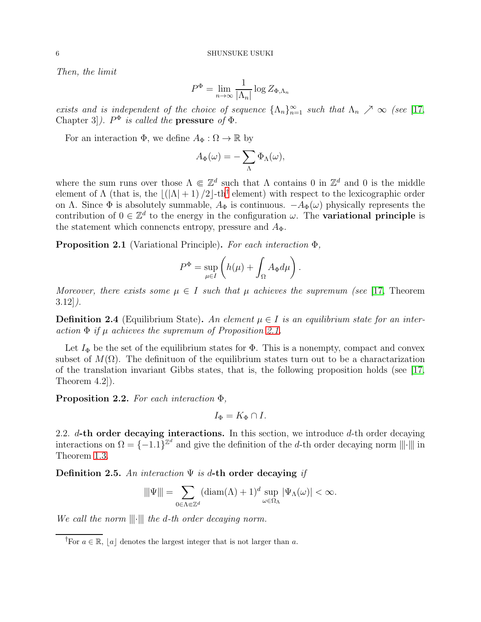Then, the limit

$$
P^{\Phi} = \lim_{n \to \infty} \frac{1}{|\Lambda_n|} \log Z_{\Phi, \Lambda_n}
$$

exists and is independent of the choice of sequence  $\{\Lambda_n\}_{n=1}^{\infty}$  such that  $\Lambda_n \nearrow \infty$  (see [\[17,](#page-19-0) Chapter 3]).  $P^{\Phi}$  is called the **pressure** of  $\Phi$ .

For an interaction  $\Phi$ , we define  $A_{\Phi}: \Omega \to \mathbb{R}$  by

$$
A_{\Phi}(\omega) = -\sum_{\Lambda} \Phi_{\Lambda}(\omega),
$$

where the sum runs over those  $\Lambda \in \mathbb{Z}^d$  such that  $\Lambda$  contains 0 in  $\mathbb{Z}^d$  and 0 is the middle element of  $\Lambda$  (that is, the  $\lfloor (\vert \Lambda \vert + 1)/2 \rfloor$ -th<sup>[†](#page-5-1)</sup> element) with respect to the lexicographic order on Λ. Since  $\Phi$  is absolutely summable,  $A_{\Phi}$  is continuous.  $-A_{\Phi}(\omega)$  physically represents the contribution of  $0 \in \mathbb{Z}^d$  to the energy in the configuration  $\omega$ . The **variational principle** is the statement which connencts entropy, pressure and  $A_{\Phi}$ .

<span id="page-5-2"></span>**Proposition 2.1** (Variational Principle). For each interaction  $\Phi$ ,

$$
P^{\Phi} = \sup_{\mu \in I} \left( h(\mu) + \int_{\Omega} A_{\Phi} d\mu \right).
$$

Moreover, there exists some  $\mu \in I$  such that  $\mu$  achieves the supremum (see [\[17,](#page-19-0) Theorem  $3.12$ ].

**Definition 2.4** (Equilibrium State). An element  $\mu \in I$  is an equilibrium state for an interaction  $\Phi$  if  $\mu$  achieves the supremum of Proposition [2.1.](#page-5-2)

Let  $I_{\Phi}$  be the set of the equilibrium states for  $\Phi$ . This is a nonempty, compact and convex subset of  $M(\Omega)$ . The definituon of the equilibrium states turn out to be a charactarization of the translation invariant Gibbs states, that is, the following proposition holds (see [\[17,](#page-19-0) Theorem 4.2]).

<span id="page-5-3"></span>**Proposition 2.2.** For each interaction  $\Phi$ ,

$$
I_{\Phi} = K_{\Phi} \cap I.
$$

<span id="page-5-0"></span>2.2.  $d$ -th order decaying interactions. In this section, we introduce  $d$ -th order decaying interactions on  $\Omega = \{-1.1\}^{\mathbb{Z}^d}$  and give the definition of the d-th order decaying norm  $\|\|\cdot\|$  in Theorem [1.3.](#page-2-1)

Definition 2.5. An interaction  $\Psi$  is d-th order decaying if

$$
\|\Psi\| = \sum_{0 \in \Lambda \in \mathbb{Z}^d} (\text{diam}(\Lambda) + 1)^d \sup_{\omega \in \Omega_{\Lambda}} |\Psi_{\Lambda}(\omega)| < \infty.
$$

We call the norm  $\|\cdot\|$  the d-th order decaying norm.

<span id="page-5-1"></span><sup>&</sup>lt;sup>†</sup>For  $a \in \mathbb{R}$ , |a| denotes the largest integer that is not larger than a.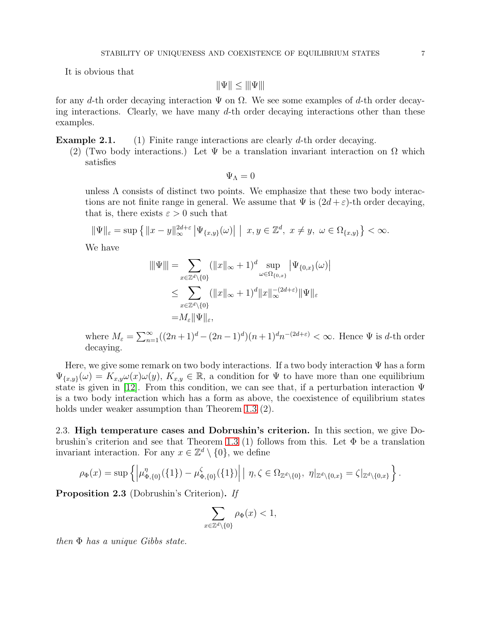It is obvious that

$$
\|\Psi\|\leq \|\Psi\|
$$

for any d-th order decaying interaction  $\Psi$  on  $\Omega$ . We see some examples of d-th order decaying interactions. Clearly, we have many  $d$ -th order decaying interactions other than these examples.

**Example 2.1.** (1) Finite range interactions are clearly d-th order decaying.

(2) (Two body interactions.) Let  $\Psi$  be a translation invariant interaction on  $\Omega$  which satisfies

$$
\Psi_{\Lambda}=0
$$

unless  $\Lambda$  consists of distinct two points. We emphasize that these two body interactions are not finite range in general. We assume that  $\Psi$  is  $(2d + \varepsilon)$ -th order decaying, that is, there exists  $\varepsilon > 0$  such that

$$
\|\Psi\|_{\varepsilon} = \sup\left\{ \|x - y\|_{\infty}^{2d + \varepsilon} \left| \Psi_{\{x, y\}}(\omega) \right| \mid x, y \in \mathbb{Z}^d, \ x \neq y, \ \omega \in \Omega_{\{x, y\}} \right\} < \infty.
$$

We have

$$
\|\Psi\| = \sum_{x \in \mathbb{Z}^d \backslash \{0\}} (\|x\|_{\infty} + 1)^d \sup_{\omega \in \Omega_{\{0,x\}}} |\Psi_{\{0,x\}}(\omega)|
$$
  

$$
\leq \sum_{x \in \mathbb{Z}^d \backslash \{0\}} (\|x\|_{\infty} + 1)^d \|x\|_{\infty}^{-(2d+\varepsilon)} \|\Psi\|_{\varepsilon}
$$
  

$$
= M_{\varepsilon} \|\Psi\|_{\varepsilon},
$$

where  $M_{\varepsilon} = \sum_{n=1}^{\infty} ((2n+1)^d - (2n-1)^d)(n+1)^d n^{-(2d+\varepsilon)} < \infty$ . Hence  $\Psi$  is d-th order decaying.

Here, we give some remark on two body interactions. If a two body interaction  $\Psi$  has a form  $\Psi_{\{x,y\}}(\omega) = K_{x,y}\omega(x)\omega(y), K_{x,y} \in \mathbb{R}$ , a condition for  $\Psi$  to have more than one equilibrium state is given in [\[12\]](#page-19-10). From this condition, we can see that, if a perturbation interaction  $\Psi$ is a two body interaction which has a form as above, the coexistence of equilibrium states holds under weaker assumption than Theorem [1.3](#page-2-1) (2).

<span id="page-6-0"></span>2.3. High temperature cases and Dobrushin's criterion. In this section, we give Do-brushin's criterion and see that Theorem [1.3](#page-2-1) (1) follows from this. Let  $\Phi$  be a translation invariant interaction. For any  $x \in \mathbb{Z}^d \setminus \{0\}$ , we define

$$
\rho_{\Phi}(x) = \sup \left\{ \left| \mu_{\Phi,\{0\}}^{\eta}(\{1\}) - \mu_{\Phi,\{0\}}^{\zeta}(\{1\}) \right| \mid \eta, \zeta \in \Omega_{\mathbb{Z}^d \setminus \{0\}}, \ \eta|_{\mathbb{Z}^d \setminus \{0,x\}} = \zeta|_{\mathbb{Z}^d \setminus \{0,x\}} \right\}.
$$

Proposition 2.3 (Dobrushin's Criterion). If

$$
\sum_{x\in\mathbb{Z}^d\backslash\{0\}}\rho_\Phi(x)<1,
$$

then  $\Phi$  has a unique Gibbs state.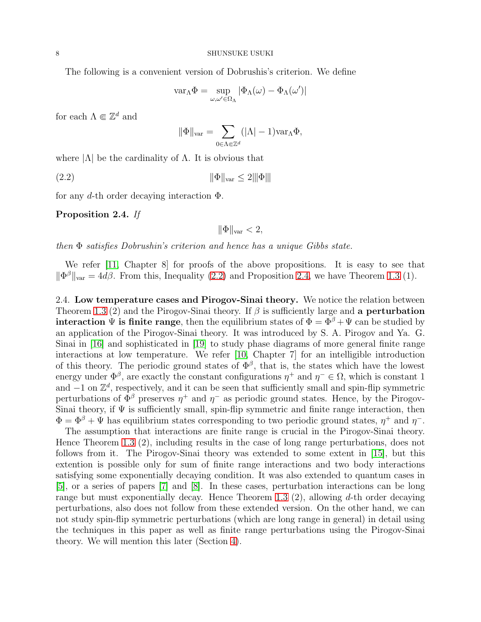The following is a convenient version of Dobrushis's criterion. We define

$$
var_{\Lambda}\Phi = \sup_{\omega,\omega'\in\Omega_{\Lambda}} |\Phi_{\Lambda}(\omega) - \Phi_{\Lambda}(\omega')|
$$

for each  $\Lambda \Subset \mathbb{Z}^d$  and

$$
\|\Phi\|_{var} = \sum_{0 \in \Lambda \Subset \mathbb{Z}^d} (|\Lambda| - 1) \text{var}_{\Lambda} \Phi,
$$

where  $|\Lambda|$  be the cardinality of  $\Lambda$ . It is obvious that

$$
\|\Phi\|_{\text{var}} \le 2\|\Phi\|
$$

for any d-th order decaying interaction  $\Phi$ .

<span id="page-7-2"></span>Proposition 2.4. If

<span id="page-7-1"></span> $\|\Phi\|_{\text{var}} < 2$ ,

then Φ satisfies Dobrushin's criterion and hence has a unique Gibbs state.

We refer [\[11,](#page-19-11) Chapter 8] for proofs of the above propositions. It is easy to see that  $\|\Phi^{\beta}\|_{\text{var}} = 4d\beta$ . From this, Inequality [\(2.2\)](#page-7-1) and Proposition [2.4,](#page-7-2) we have Theorem [1.3](#page-2-1) (1).

<span id="page-7-0"></span>2.4. Low temperature cases and Pirogov-Sinai theory. We notice the relation between Theorem [1.3](#page-2-1) (2) and the Pirogov-Sinai theory. If  $\beta$  is sufficiently large and a **perturbation interaction**  $\Psi$  is finite range, then the equilibrium states of  $\Phi = \Phi^{\beta} + \Psi$  can be studied by an application of the Pirogov-Sinai theory. It was introduced by S. A. Pirogov and Ya. G. Sinai in [\[16\]](#page-19-12) and sophisticated in [\[19\]](#page-19-13) to study phase diagrams of more general finite range interactions at low temperature. We refer [\[10,](#page-19-1) Chapter 7] for an intelligible introduction of this theory. The periodic ground states of  $\Phi^{\beta}$ , that is, the states which have the lowest energy under  $\Phi^{\beta}$ , are exactly the constant configurations  $\eta^+$  and  $\eta^- \in \Omega$ , which is constant 1 and  $-1$  on  $\mathbb{Z}^d$ , respectively, and it can be seen that sufficiently small and spin-flip symmetric perturbations of  $\Phi^{\beta}$  preserves  $\eta^{+}$  and  $\eta^{-}$  as periodic ground states. Hence, by the Pirogov-Sinai theory, if  $\Psi$  is sufficiently small, spin-flip symmetric and finite range interaction, then  $\Phi = \Phi^{\beta} + \Psi$  has equilibrium states corresponding to two periodic ground states,  $\eta^{+}$  and  $\eta^{-}$ .

The assumption that interactions are finite range is crucial in the Pirogov-Sinai theory. Hence Theorem [1.3](#page-2-1) (2), including results in the case of long range perturbations, does not follows from it. The Pirogov-Sinai theory was extended to some extent in [\[15\]](#page-19-14), but this extention is possible only for sum of finite range interactions and two body interactions satisfying some exponentially decaying condition. It was also extended to quantum cases in [\[5\]](#page-19-15), or a series of papers [\[7\]](#page-19-16) and [\[8\]](#page-19-17). In these cases, perturbation interactions can be long range but must exponentially decay. Hence Theorem [1.3](#page-2-1)  $(2)$ , allowing d-th order decaying perturbations, also does not follow from these extended version. On the other hand, we can not study spin-flip symmetric perturbations (which are long range in general) in detail using the techniques in this paper as well as finite range perturbations using the Pirogov-Sinai theory. We will mention this later (Section [4\)](#page-17-0).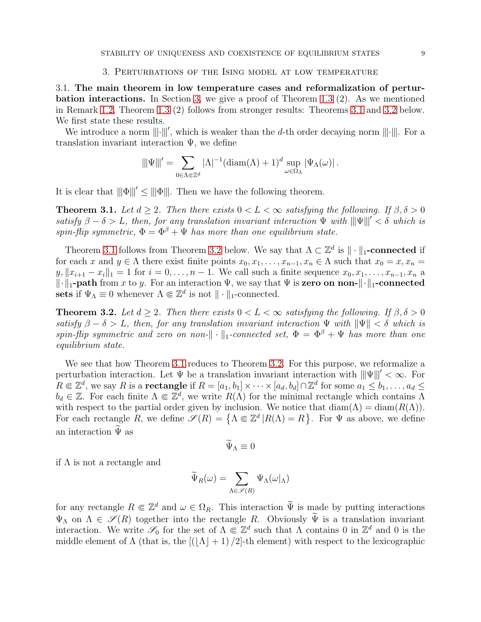<span id="page-8-2"></span>3.1. The main theorem in low temperature cases and reformalization of perturbation interactions. In Section [3,](#page-8-2) we give a proof of Theorem [1.3](#page-2-1) (2). As we mentioned in Remark 1.2, Theorem [1.3](#page-2-1) (2) follows from stronger results: Theorems [3.1](#page-8-0) and [3.2](#page-8-1) below. We first state these results.

We introduce a norm  $\|\cdot\|'$ , which is weaker than the d-th order decaying norm  $\|\cdot\|$ . For a translation invariant interaction Ψ, we define

$$
\|\!|\!| \Psi|\!|\!|'=\sum_{0\in \Lambda\Subset \mathbb{Z}^d} |\Lambda|^{-1} (\mathop{\rm diam}(\Lambda)+1)^d \sup_{\omega\in \Omega_\Lambda} |\Psi_\Lambda(\omega)|\,.
$$

It is clear that  $\|\Phi\|' < \|\Phi\|$ . Then we have the following theorem.

<span id="page-8-0"></span>**Theorem 3.1.** Let  $d \geq 2$ . Then there exists  $0 < L < \infty$  satisfying the following. If  $\beta, \delta > 0$ satisfy  $\beta - \delta > L$ , then, for any translation invariant interaction  $\Psi$  with  $\|\Psi\|' < \delta$  which is spin-flip symmetric,  $\Phi = \Phi^{\beta} + \Psi$  has more than one equilibrium state.

Theorem [3.1](#page-8-0) follows from Theorem [3.2](#page-8-1) below. We say that  $\Lambda \subset \mathbb{Z}^d$  is  $\|\cdot\|_1$ -connected if for each x and  $y \in \Lambda$  there exist finite points  $x_0, x_1, \ldots, x_{n-1}, x_n \in \Lambda$  such that  $x_0 = x, x_n =$  $y, \|x_{i+1} - x_i\|_1 = 1$  for  $i = 0, \ldots, n-1$ . We call such a finite sequence  $x_0, x_1, \ldots, x_{n-1}, x_n$  a  $\|\cdot\|_1$ -path from x to y. For an interaction  $\Psi$ , we say that  $\Psi$  is zero on non- $\|\cdot\|_1$ -connected sets if  $\Psi_{\Lambda} \equiv 0$  whenever  $\Lambda \Subset \mathbb{Z}^d$  is not  $\|\cdot\|_1$ -connected.

<span id="page-8-1"></span>**Theorem 3.2.** Let  $d > 2$ . Then there exists  $0 < L < \infty$  satisfying the following. If  $\beta, \delta > 0$ satisfy  $\beta - \delta > L$ , then, for any translation invariant interaction  $\Psi$  with  $\|\Psi\| < \delta$  which is spin-flip symmetric and zero on non- $\|\cdot\|_1$ -connected set,  $\Phi = \Phi^{\beta} + \Psi$  has more than one equilibrium state.

We see that how Theorem [3.1](#page-8-0) reduces to Theorem [3.2.](#page-8-1) For this purpose, we reformalize a perturbation interaction. Let  $\Psi$  be a translation invariant interaction with  $\|\Psi\|' < \infty$ . For  $R\Subset \mathbb{Z}^d$ , we say R is a **rectangle** if  $R=[a_1,b_1]\times\cdots\times[a_d,b_d]\cap\mathbb{Z}^d$  for some  $a_1\leq b_1,\ldots,a_d\leq d$  $b_d \in \mathbb{Z}$ . For each finite  $\Lambda \subseteq \mathbb{Z}^d$ , we write  $R(\Lambda)$  for the minimal rectangle which contains  $\Lambda$ with respect to the partial order given by inclusion. We notice that  $\text{diam}(\Lambda) = \text{diam}(R(\Lambda)).$ For each rectangle R, we define  $\mathscr{S}(R) = \{ \Lambda \in \mathbb{Z}^d | R(\Lambda) = R \}$ . For  $\Psi$  as above, we define an interaction  $\Psi$  as

$$
\Psi_{\Lambda}\equiv 0
$$

if  $\Lambda$  is not a rectangle and

$$
\widetilde{\Psi}_R(\omega)=\sum_{\Lambda\in\mathscr{S}(R)}\Psi_\Lambda(\omega|_\Lambda)
$$

for any rectangle  $R \in \mathbb{Z}^d$  and  $\omega \in \Omega_R$ . This interaction  $\widetilde{\Psi}$  is made by putting interactions  $\Psi_{\Lambda}$  on  $\Lambda \in \mathscr{S}(R)$  together into the rectangle R. Obviously  $\widetilde{\Psi}$  is a translation invariant interaction. We write  $\mathscr{S}_0$  for the set of  $\Lambda \subseteq \mathbb{Z}^d$  such that  $\Lambda$  contains 0 in  $\mathbb{Z}^d$  and 0 is the middle element of  $\Lambda$  (that is, the  $[(\Lambda + 1)/2]$ -th element) with respect to the lexicographic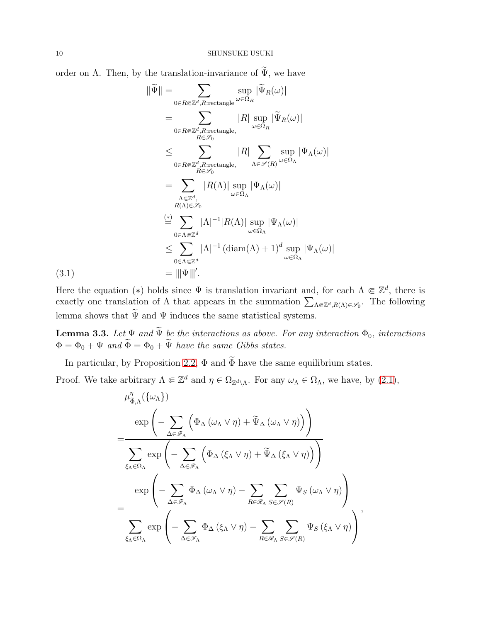order on  $\Lambda$ . Then, by the translation-invariance of  $\widetilde{\Psi}$ , we have

$$
\|\widetilde{\Psi}\| = \sum_{0 \in R \in \mathbb{Z}^d, R: \text{rectangle}} \sup_{\omega \in \Omega_R} |\widetilde{\Psi}_R(\omega)|
$$
  
\n
$$
= \sum_{0 \in R \in \mathbb{Z}^d, R: \text{rectangle},} |R| \sup_{\omega \in \Omega_R} |\widetilde{\Psi}_R(\omega)|
$$
  
\n
$$
\leq \sum_{0 \in R \in \mathbb{Z}^d, R: \text{rectangle},} |R| \sum_{\Lambda \in \mathcal{S}(R)} \sup_{\omega \in \Omega_{\Lambda}} |\Psi_{\Lambda}(\omega)|
$$
  
\n
$$
= \sum_{\substack{\Lambda \in \mathbb{Z}^d, \\ R(\Lambda) \in \mathcal{S}_0}} |R(\Lambda)| \sup_{\omega \in \Omega_{\Lambda}} |\Psi_{\Lambda}(\omega)|
$$
  
\n
$$
\stackrel{(*)}{=} \sum_{0 \in \Lambda \in \mathbb{Z}^d} |\Lambda|^{-1} |R(\Lambda)| \sup_{\omega \in \Omega_{\Lambda}} |\Psi_{\Lambda}(\omega)|
$$
  
\n
$$
\leq \sum_{0 \in \Lambda \in \mathbb{Z}^d} |\Lambda|^{-1} (\text{diam}(\Lambda) + 1)^d \sup_{\omega \in \Omega_{\Lambda}} |\Psi_{\Lambda}(\omega)|
$$
  
\n
$$
= |||\Psi|||'.
$$

Here the equation (\*) holds since  $\Psi$  is translation invariant and, for each  $\Lambda \Subset \mathbb{Z}^d$ , there is exactly one translation of  $\Lambda$  that appears in the summation  $\sum_{\Lambda \in \mathbb{Z}^d, R(\Lambda) \in \mathscr{S}_0}$ . The following lemma shows that  $\widetilde{\Psi}$  and  $\Psi$  induces the same statistical systems.

<span id="page-9-1"></span>**Lemma 3.3.** Let  $\Psi$  and  $\Psi$  be the interactions as above. For any interaction  $\Phi_0$ , interactions  $\Phi = \Phi_0 + \Psi$  and  $\Phi = \Phi_0 + \Psi$  have the same Gibbs states.

In particular, by Proposition [2.2,](#page-5-3)  $\Phi$  and  $\widetilde{\Phi}$  have the same equilibrium states.

Proof. We take arbitrary  $\Lambda \Subset \mathbb{Z}^d$  and  $\eta \in \Omega_{\mathbb{Z}^d\setminus\Lambda}$ . For any  $\omega_{\Lambda} \in \Omega_{\Lambda}$ , we have, by  $(2.1)$ ,

$$
\mu_{\tilde{\Phi},\Lambda}^{\eta}(\{\omega_{\Lambda}\})
$$
\n
$$
= \frac{\exp\left(-\sum_{\Delta\in\mathscr{F}_{\Lambda}}\left(\Phi_{\Delta}\left(\omega_{\Lambda}\vee\eta\right)+\widetilde{\Psi}_{\Delta}\left(\omega_{\Lambda}\vee\eta\right)\right)\right)}{\sum_{\xi_{\Lambda}\in\Omega_{\Lambda}}\exp\left(-\sum_{\Delta\in\mathscr{F}_{\Lambda}}\left(\Phi_{\Delta}\left(\xi_{\Lambda}\vee\eta\right)+\widetilde{\Psi}_{\Delta}\left(\xi_{\Lambda}\vee\eta\right)\right)\right)}
$$
\n
$$
= \frac{\exp\left(-\sum_{\Delta\in\mathscr{F}_{\Lambda}}\Phi_{\Delta}\left(\omega_{\Lambda}\vee\eta\right)-\sum_{R\in\mathscr{R}_{\Lambda}}\sum_{S\in\mathscr{S}(R)}\Psi_{S}\left(\omega_{\Lambda}\vee\eta\right)\right)}{\sum_{\xi_{\Lambda}\in\Omega_{\Lambda}}\exp\left(-\sum_{\Delta\in\mathscr{F}_{\Lambda}}\Phi_{\Delta}\left(\xi_{\Lambda}\vee\eta\right)-\sum_{R\in\mathscr{R}_{\Lambda}}\sum_{S\in\mathscr{S}(R)}\Psi_{S}\left(\xi_{\Lambda}\vee\eta\right)\right)},
$$

<span id="page-9-0"></span> $(3.1)$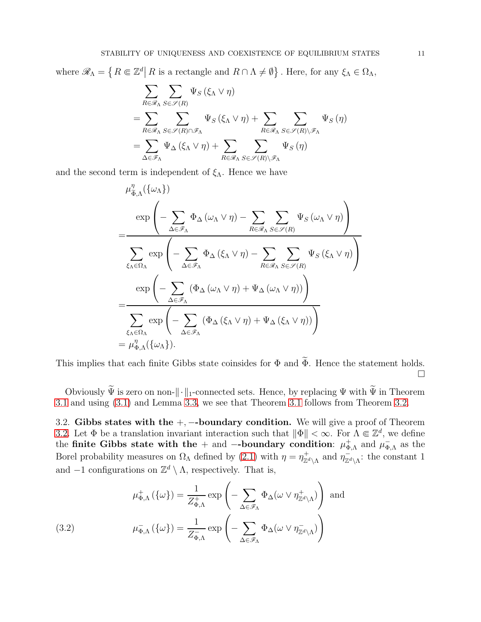where  $\mathscr{R}_{\Lambda} = \left\{ R \Subset \mathbb{Z}^d \middle| R \text{ is a rectangle and } R \cap \Lambda \neq \emptyset \right\}$ . Here, for any  $\xi_{\Lambda} \in \Omega_{\Lambda}$ ,

$$
\sum_{R \in \mathcal{R}_{\Lambda}} \sum_{S \in \mathcal{S}(R)} \Psi_{S} (\xi_{\Lambda} \vee \eta)
$$
\n
$$
= \sum_{R \in \mathcal{R}_{\Lambda}} \sum_{S \in \mathcal{S}(R) \cap \mathcal{F}_{\Lambda}} \Psi_{S} (\xi_{\Lambda} \vee \eta) + \sum_{R \in \mathcal{R}_{\Lambda}} \sum_{S \in \mathcal{S}(R) \setminus \mathcal{F}_{\Lambda}} \Psi_{S} (\eta)
$$
\n
$$
= \sum_{\Delta \in \mathcal{F}_{\Lambda}} \Psi_{\Delta} (\xi_{\Lambda} \vee \eta) + \sum_{R \in \mathcal{R}_{\Lambda}} \sum_{S \in \mathcal{S}(R) \setminus \mathcal{F}_{\Lambda}} \Psi_{S} (\eta)
$$

and the second term is independent of  $\xi_{\Lambda}$ . Hence we have

$$
\mu_{\tilde{\Phi},\Lambda}^{\eta}(\{\omega_{\Lambda}\})
$$
\n
$$
= \frac{\exp\left(-\sum_{\Delta \in \mathscr{F}_{\Lambda}} \Phi_{\Delta}(\omega_{\Lambda} \vee \eta) - \sum_{R \in \mathscr{R}_{\Lambda}} \sum_{S \in \mathscr{S}(R)} \Psi_{S}(\omega_{\Lambda} \vee \eta)\right)}{\sum_{\xi_{\Lambda} \in \Omega_{\Lambda}} \exp\left(-\sum_{\Delta \in \mathscr{F}_{\Lambda}} \Phi_{\Delta}(\xi_{\Lambda} \vee \eta) - \sum_{R \in \mathscr{R}_{\Lambda}} \sum_{S \in \mathscr{S}(R)} \Psi_{S}(\xi_{\Lambda} \vee \eta)\right)}
$$
\n
$$
= \frac{\exp\left(-\sum_{\Delta \in \mathscr{F}_{\Lambda}} (\Phi_{\Delta}(\omega_{\Lambda} \vee \eta) + \Psi_{\Delta}(\omega_{\Lambda} \vee \eta))\right)}{\sum_{\xi_{\Lambda} \in \Omega_{\Lambda}} \exp\left(-\sum_{\Delta \in \mathscr{F}_{\Lambda}} (\Phi_{\Delta}(\xi_{\Lambda} \vee \eta) + \Psi_{\Delta}(\xi_{\Lambda} \vee \eta))\right)}
$$
\n
$$
= \mu_{\Phi,\Lambda}^{\eta}(\{\omega_{\Lambda}\}).
$$

This implies that each finite Gibbs state coinsides for  $\Phi$  and  $\widetilde{\Phi}$ . Hence the statement holds.  $\Box$ 

Obviously  $\widetilde{\Psi}$  is zero on non- $\|\cdot\|_1$ -connected sets. Hence, by replacing  $\Psi$  with  $\widetilde{\Psi}$  in Theorem [3.1](#page-8-0) and using [\(3.1\)](#page-9-0) and Lemma [3.3,](#page-9-1) we see that Theorem [3.1](#page-8-0) follows from Theorem [3.2.](#page-8-1)

3.2. Gibbs states with the  $+$ ,  $-$ -boundary condition. We will give a proof of Theorem [3.2.](#page-8-1) Let  $\Phi$  be a translation invariant interaction such that  $\|\Phi\| < \infty$ . For  $\Lambda \Subset \mathbb{Z}^d$ , we define the finite Gibbs state with the + and --boundary condition:  $\mu_{\Phi}^+$  $_{\Phi,\Lambda}^+$  and  $\mu_{\Phi}^ \bar{\Phi}$ <sub>, A</sub> as the Borel probability measures on  $\Omega_{\Lambda}$  defined by [\(2.1\)](#page-4-1) with  $\eta = \eta_{\mathbb{Z}^d\setminus\Lambda}^+$  and  $\eta_{\mathbb{Z}^d\setminus\Lambda}^-$ : the constant 1 and  $-1$  configurations on  $\mathbb{Z}^d \setminus \Lambda$ , respectively. That is,

<span id="page-10-0"></span>(3.2) 
$$
\mu_{\Phi,\Lambda}^+ (\{\omega\}) = \frac{1}{Z_{\Phi,\Lambda}^+} \exp \left(-\sum_{\Delta \in \mathscr{F}_{\Lambda}} \Phi_{\Delta}(\omega \vee \eta_{\mathbb{Z}^d \setminus \Lambda}^+) \right) \text{ and}
$$

$$
\mu_{\Phi,\Lambda}^- (\{\omega\}) = \frac{1}{Z_{\Phi,\Lambda}^-} \exp \left(-\sum_{\Delta \in \mathscr{F}_{\Lambda}} \Phi_{\Delta}(\omega \vee \eta_{\mathbb{Z}^d \setminus \Lambda}^-) \right)
$$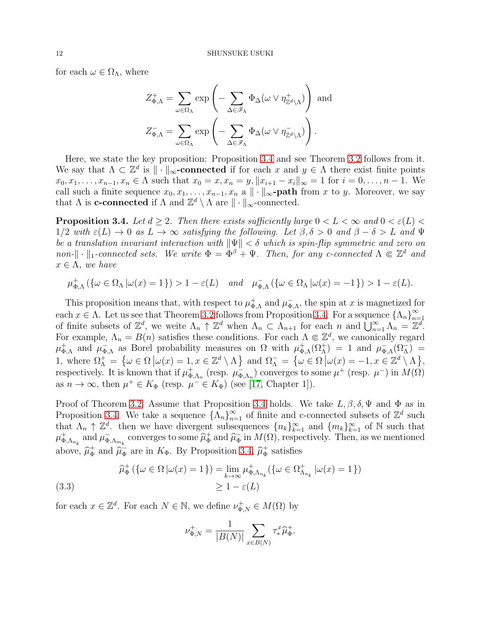for each  $\omega \in \Omega_{\Lambda}$ , where

$$
Z_{\Phi,\Lambda}^+ = \sum_{\omega \in \Omega_{\Lambda}} \exp \left( - \sum_{\Delta \in \mathscr{F}_{\Lambda}} \Phi_{\Delta}(\omega \vee \eta_{\mathbb{Z}^d \setminus \Lambda}^+) \right) \text{ and}
$$

$$
Z_{\Phi,\Lambda}^- = \sum_{\omega \in \Omega_{\Lambda}} \exp \left( - \sum_{\Delta \in \mathscr{F}_{\Lambda}} \Phi_{\Delta}(\omega \vee \eta_{\mathbb{Z}^d \setminus \Lambda}^-) \right).
$$

Here, we state the key proposition: Proposition [3.4](#page-11-0) and see Theorem [3.2](#page-8-1) follows from it. We say that  $\Lambda \subset \mathbb{Z}^d$  is  $\|\cdot\|_{\infty}$ -connected if for each x and  $y \in \Lambda$  there exist finite points  $x_0, x_1, \ldots, x_{n-1}, x_n \in \Lambda$  such that  $x_0 = x, x_n = y, \|x_{i+1} - x_i\|_{\infty} = 1$  for  $i = 0, \ldots, n-1$ . We call such a finite sequence  $x_0, x_1, \ldots, x_{n-1}, x_n$  a  $\|\cdot\|_{\infty}$ -path from x to y. Moreover, we say that  $\Lambda$  is **c-connected** if  $\Lambda$  and  $\mathbb{Z}^d \setminus \Lambda$  are  $\|\cdot\|_{\infty}$ -connected.

<span id="page-11-0"></span>**Proposition 3.4.** Let  $d > 2$ . Then there exists sufficiently large  $0 < L < \infty$  and  $0 < \varepsilon(L) <$  $1/2$  with  $\varepsilon(L) \to 0$  as  $L \to \infty$  satisfying the following. Let  $\beta, \delta > 0$  and  $\beta - \delta > L$  and  $\Psi$ be a translation invariant interaction with  $\|\Psi\| < \delta$  which is spin-flip symmetric and zero on non- $\|\cdot\|_1$ -connected sets. We write  $\Phi = \tilde{\Phi}^{\beta} + \Psi$ . Then, for any c-connected  $\Lambda \Subset \mathbb{Z}^d$  and  $x \in \Lambda$ , we have

$$
\mu_{\Phi,\Lambda}^+ (\{\omega \in \Omega_\Lambda \, | \omega(x) = 1 \}) > 1 - \varepsilon(L) \quad \text{and} \quad \mu_{\Phi,\Lambda}^- (\{\omega \in \Omega_\Lambda \, | \omega(x) = -1 \}) > 1 - \varepsilon(L).
$$

This proposition means that, with respect to  $\mu_{\Phi}^+$  $_{\Phi,\Lambda}^+$  and  $\mu_{\Phi}^ \overline{\Phi}_{A}$ , the spin at x is magnetized for each  $x \in \Lambda$ . Let us see that Theorem [3.2](#page-8-1) follows from Proposition [3.4.](#page-11-0) For a sequence  $\{\Lambda_n\}_{n=1}^{\infty}$  $n=1$ of finite subsets of  $\mathbb{Z}^d$ , we weite  $\Lambda_n \uparrow \mathbb{Z}^d$  when  $\Lambda_n \subset \Lambda_{n+1}$  for each n and  $\bigcup_{n=1}^{\infty} \Lambda_n = \mathbb{Z}^d$ . For example,  $\Lambda_n = B(n)$  satisfies these conditions. For each  $\Lambda \in \mathbb{Z}^d$ , we canonically regard  $\mu_{\Phi}^+$  $_{\Phi,\Lambda}^+$  and  $\mu_{\Phi}^ \bar{\phi}_{\Lambda}$  as Borel probability measures on  $\Omega$  with  $\mu_{\Phi}^+$  $\phi_{,\Lambda}(\Omega_{\Lambda}^{+}) = 1$  and  $\mu_{\Phi}^{-}$  $\overline{\Phi}_{,\Lambda}(\Omega^-_{\Lambda}) =$ 1, where  $\Omega_{\Lambda}^+ = \{ \omega \in \Omega \, | \omega(x) = 1, x \in \mathbb{Z}^d \setminus \Lambda \}$  and  $\Omega_{\Lambda}^- = \{ \omega \in \Omega \, | \omega(x) = -1, x \in \mathbb{Z}^d \setminus \Lambda \},$ respectively. It is known that if  $\mu_{\Phi}^+$  $_{\Phi,\Lambda_n}^+$  (resp.  $\mu_{\Phi}^ \bar{\phi}_{\Lambda n}$  converges to some  $\mu^+$  (resp.  $\mu^-$ ) in  $M(\Omega)$ as  $n \to \infty$ , then  $\mu^+ \in K_{\Phi}$  (resp.  $\mu^- \in K_{\Phi}$ ) (see [\[17,](#page-19-0) Chapter 1]).

Proof of Theorem [3.2.](#page-8-1) Assume that Proposition [3.4](#page-11-0) holds. We take  $L, \beta, \delta, \Psi$  and  $\Phi$  as in Proposition [3.4.](#page-11-0) We take a sequence  $\{\Lambda_n\}_{n=1}^{\infty}$  of finite and c-connected subsets of  $\mathbb{Z}^d$  such that  $\Lambda_n \uparrow \mathbb{Z}^d$ , then we have divergent subsequences  $\{n_k\}_{k=1}^{\infty}$  and  $\{m_k\}_{k=1}^{\infty}$  of N such that  $\mu_{\Phi}^+$  $_{\Phi,\Lambda_{n_k}}^+$  and  $\mu_{\Phi}^ \bar{\phi}_{\Lambda m_k}$  converges to some  $\hat{\mu}_{\Phi}^+$  $+\frac{1}{\Phi}$  and  $\widehat{\mu}_{\Phi}^ \frac{1}{\Phi}$  in  $M(\Omega)$ , respectively. Then, as we mentioned above,  $\hat{\mu}_{\Phi}^+$  $\frac{+}{\Phi}$  and  $\hat{\mu}_{\Phi}^ \frac{1}{\Phi}$  are in  $K_{\Phi}$ . By Proposition [3.4,](#page-11-0)  $\hat{\mu}_{\Phi}^{+}$  $\frac{1}{\Phi}$  satisfies

<span id="page-11-1"></span>(3.3) 
$$
\widehat{\mu}_{\Phi}^+ (\{\omega \in \Omega \mid \omega(x) = 1\}) = \lim_{k \to \infty} \mu_{\Phi, \Lambda_{n_k}}^+ (\{\omega \in \Omega_{\Lambda_{n_k}}^+ \mid \omega(x) = 1\})
$$

$$
\geq 1 - \varepsilon(L)
$$

for each  $x \in \mathbb{Z}^d$ . For each  $N \in \mathbb{N}$ , we define  $\nu_{\Phi, N}^+ \in M(\Omega)$  by

$$
\nu_{\Phi,N}^+ = \frac{1}{|B(N)|} \sum_{x \in B(N)} \tau_*^x \hat{\mu}_{\Phi}^+.
$$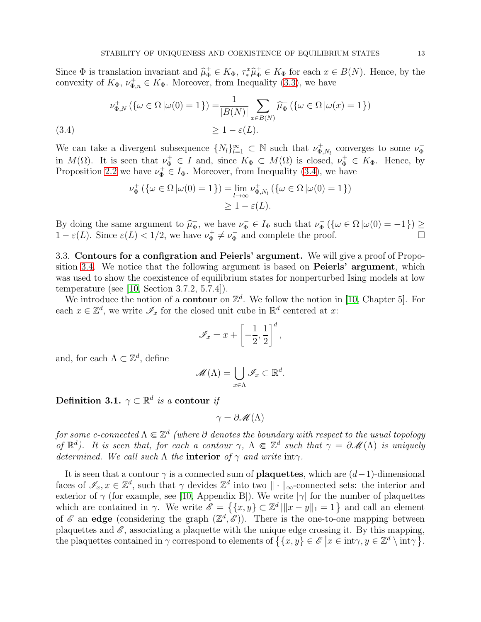Since  $\Phi$  is translation invariant and  $\hat{\mu}^+_{\Phi} \in K_{\Phi}$ ,  $\tau^x \hat{\mu}^+_{\Phi} \in K_{\Phi}$  for each  $x \in B(N)$ . Hence, by the convexity of  $K_{\Phi}$ ,  $\nu_{\Phi,n}^+ \in K_{\Phi}$ . Moreover, from Inequality [\(3.3\)](#page-11-1), we have

$$
\nu_{\Phi,N}^+ (\{\omega \in \Omega \, | \omega(0) = 1\}) = \frac{1}{|B(N)|} \sum_{x \in B(N)} \widehat{\mu}_{\Phi}^+ (\{\omega \in \Omega \, | \omega(x) = 1\})
$$
\n
$$
\geq 1 - \varepsilon(L).
$$
\n(3.4)

<span id="page-12-0"></span>We can take a divergent subsequence  $\{N_l\}_{l=1}^{\infty} \subset \mathbb{N}$  such that  $\nu_{\Phi_l}^+$  $v_{\Phi,N_l}^+$  converges to some  $\nu_{\Phi}^+$ Φ in  $M(\Omega)$ . It is seen that  $\nu_{\Phi}^+ \in I$  and, since  $K_{\Phi} \subset M(\Omega)$  is closed,  $\nu_{\Phi}^+ \in K_{\Phi}$ . Hence, by Proposition [2.2](#page-5-3) we have  $\nu_{\Phi}^+ \in I_{\Phi}$ . Moreover, from Inequality [\(3.4\)](#page-12-0), we have

$$
\nu_{\Phi}^+ (\{\omega \in \Omega \, | \omega(0) = 1\}) = \lim_{l \to \infty} \nu_{\Phi, N_l}^+ (\{\omega \in \Omega \, | \omega(0) = 1\})
$$
  

$$
\geq 1 - \varepsilon(L).
$$

By doing the same argument to  $\hat{\mu}_{\Phi}^{-}$  $\overline{\phi}$ , we have  $\nu_{\Phi}^- \in I_{\Phi}$  such that  $\nu_{\Phi}^ \sigma_{\Phi}^{-}(\{\omega \in \Omega \, | \omega(0) = -1\}) \geq$  $1 - \varepsilon(L)$ . Since  $\varepsilon(L) < 1/2$ , we have  $\nu_{\Phi}^+$  $\nu_{\Phi}^+ \neq \nu_{\Phi}^ \overline{\Phi}$  and complete the proof.

3.3. Contours for a configration and Peierls' argument. We will give a proof of Propo-sition [3.4.](#page-11-0) We notice that the following argument is based on **Peierls' argument**, which was used to show the coexistence of equilibrium states for nonperturbed Ising models at low temperature (see [\[10,](#page-19-1) Section 3.7.2, 5.7.4]).

We introduce the notion of a **contour** on  $\mathbb{Z}^d$ . We follow the notion in [\[10,](#page-19-1) Chapter 5]. For each  $x \in \mathbb{Z}^d$ , we write  $\mathscr{I}_x$  for the closed unit cube in  $\mathbb{R}^d$  centered at x:

$$
\mathscr{I}_x = x + \left[ -\frac{1}{2}, \frac{1}{2} \right]^d,
$$

and, for each  $\Lambda \subset \mathbb{Z}^d$ , define

$$
\mathscr{M}(\Lambda) = \bigcup_{x \in \Lambda} \mathscr{I}_x \subset \mathbb{R}^d.
$$

Definition 3.1.  $\gamma \subset \mathbb{R}^d$  is a contour if

$$
\gamma = \partial \mathscr{M}(\Lambda)
$$

for some c-connected  $\Lambda\Subset\mathbb{Z}^d$  (where  $\partial$  denotes the boundary with respect to the usual topology of  $\mathbb{R}^d$ ). It is seen that, for each a contour  $\gamma$ ,  $\Lambda \in \mathbb{Z}^d$  such that  $\gamma = \partial \mathscr{M}(\Lambda)$  is uniquely determined. We call such  $\Lambda$  the **interior** of  $\gamma$  and write int $\gamma$ .

It is seen that a contour  $\gamma$  is a connected sum of **plaquettes**, which are  $(d-1)$ -dimensional faces of  $\mathscr{I}_x, x \in \mathbb{Z}^d$ , such that  $\gamma$  devides  $\mathbb{Z}^d$  into two  $\|\cdot\|_{\infty}$ -connected sets: the interior and exterior of  $\gamma$  (for example, see [\[10,](#page-19-1) Appendix B]). We write  $|\gamma|$  for the number of plaquettes which are contained in  $\gamma$ . We write  $\mathscr{E} = \{ \{x, y\} \subset \mathbb{Z}^d \mid ||x - y||_1 = 1 \}$  and call an element of  $\mathscr E$  an edge (considering the graph  $(\mathbb{Z}^d, \mathscr E)$ ). There is the one-to-one mapping between plaquettes and  $\mathscr E$ , associating a plaquette with the unique edge crossing it. By this mapping, the plaquettes contained in  $\gamma$  correspond to elements of  $\{(x, y) \in \mathscr{E} \mid x \in \text{int}\gamma, y \in \mathbb{Z}^d \setminus \text{int}\gamma\}$ .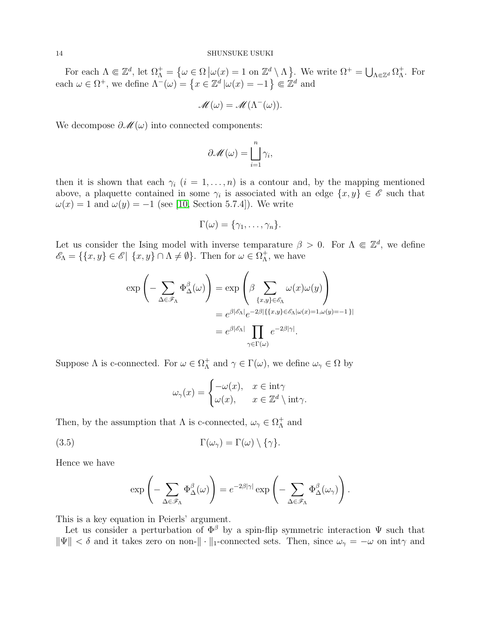For each  $\Lambda \Subset \mathbb{Z}^d$ , let  $\Omega_{\Lambda}^+ = \{ \omega \in \Omega \ | \omega(x) = 1 \text{ on } \mathbb{Z}^d \setminus \Lambda \}$ . We write  $\Omega^+ = \bigcup_{\Lambda \in \mathbb{Z}^d} \Omega_{\Lambda}^+$ Λ . For each  $\omega \in \Omega^+$ , we define  $\Lambda^-(\omega) = \{x \in \mathbb{Z}^d | \omega(x) = -1 \} \Subset \mathbb{Z}^d$  and

$$
\mathscr{M}(\omega) = \mathscr{M}(\Lambda^-(\omega)).
$$

We decompose  $\partial \mathcal{M}(\omega)$  into connected components:

$$
\partial \mathscr{M}(\omega) = \bigsqcup_{i=1}^n \gamma_i,
$$

then it is shown that each  $\gamma_i$   $(i = 1, \ldots, n)$  is a contour and, by the mapping mentioned above, a plaquette contained in some  $\gamma_i$  is associated with an edge  $\{x, y\} \in \mathscr{E}$  such that  $\omega(x) = 1$  and  $\omega(y) = -1$  (see [\[10,](#page-19-1) Section 5.7.4]). We write

$$
\Gamma(\omega)=\{\gamma_1,\ldots,\gamma_n\}.
$$

Let us consider the Ising model with inverse temparature  $\beta > 0$ . For  $\Lambda \in \mathbb{Z}^d$ , we define  $\mathscr{E}_{\Lambda} = \{ \{x, y\} \in \mathscr{E} \mid \{x, y\} \cap \Lambda \neq \emptyset \}.$  Then for  $\omega \in \Omega_{\Lambda}^{+}$  $<sub>\Lambda</sub><sup>+</sup>$ , we have</sub>

$$
\exp\left(-\sum_{\Delta\in\mathscr{F}_{\Lambda}}\Phi_{\Delta}^{\beta}(\omega)\right) = \exp\left(\beta\sum_{\{x,y\}\in\mathscr{E}_{\Lambda}}\omega(x)\omega(y)\right)
$$

$$
= e^{\beta|\mathscr{E}_{\Lambda}|}e^{-2\beta|\{\{x,y\}\in\mathscr{E}_{\Lambda}|\omega(x)=1,\omega(y)=-1\}|}
$$

$$
= e^{\beta|\mathscr{E}_{\Lambda}|}\prod_{\gamma\in\Gamma(\omega)}e^{-2\beta|\gamma|}
$$

Suppose  $\Lambda$  is c-connected. For  $\omega \in \Omega_{\Lambda}^{+}$  $\Lambda^+$  and  $\gamma \in \Gamma(\omega)$ , we define  $\omega_\gamma \in \Omega$  by

<span id="page-13-0"></span>
$$
\omega_{\gamma}(x) = \begin{cases}\n-\omega(x), & x \in \text{int}\gamma \\
\omega(x), & x \in \mathbb{Z}^d \setminus \text{int}\gamma.\n\end{cases}
$$

Then, by the assumption that  $\Lambda$  is c-connected,  $\omega_{\gamma} \in \Omega_{\Lambda}^{+}$  $^+_\Lambda$  and

(3.5) 
$$
\Gamma(\omega_{\gamma}) = \Gamma(\omega) \setminus \{\gamma\}.
$$

Hence we have

$$
\exp\left(-\sum_{\Delta\in \mathscr{F}_\Lambda} \Phi^\beta_\Delta(\omega)\right)=e^{-2\beta|\gamma|}\exp\left(-\sum_{\Delta\in \mathscr{F}_\Lambda} \Phi^\beta_\Delta(\omega_\gamma)\right).
$$

This is a key equation in Peierls' argument.

Let us consider a perturbation of  $\Phi^{\beta}$  by a spin-flip symmetric interaction  $\Psi$  such that  $\|\Psi\| < \delta$  and it takes zero on non- $\|\cdot\|_1$ -connected sets. Then, since  $\omega_{\gamma} = -\omega$  on int $\gamma$  and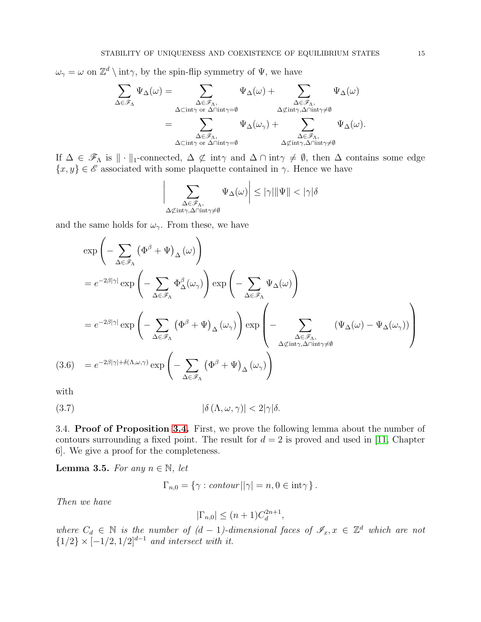$\omega_{\gamma} = \omega$  on  $\mathbb{Z}^d \setminus \text{int}\gamma$ , by the spin-flip symmetry of  $\Psi$ , we have

$$
\begin{aligned} \sum_{\Delta \in \mathscr{F}_{\Lambda}} \Psi_{\Delta}(\omega) &= \sum_{\substack{\Delta \in \mathscr{F}_{\Lambda}, \\ \Delta \subset \mathrm{int} \gamma \text{ or } \Delta \cap \mathrm{int} \gamma = \emptyset}} \Psi_{\Delta}(\omega) + \sum_{\substack{\Delta \in \mathscr{F}_{\Lambda}, \\ \Delta \not\subset \mathrm{int} \gamma, \Delta \cap \mathrm{int} \gamma = \emptyset}} \Psi_{\Delta}(\omega) \\ &= \sum_{\substack{\Delta \in \mathscr{F}_{\Lambda}, \\ \Delta \subset \mathrm{int} \gamma \text{ or } \Delta \cap \mathrm{int} \gamma = \emptyset}} \Psi_{\Delta}(\omega_{\gamma}) + \sum_{\substack{\Delta \in \mathscr{F}_{\Lambda}, \\ \Delta \not\subset \mathrm{int} \gamma, \Delta \cap \mathrm{int} \gamma \neq \emptyset}} \Psi_{\Delta}(\omega). \end{aligned}
$$

If  $\Delta \in \mathscr{F}_{\Lambda}$  is  $\|\cdot\|_1$ -connected,  $\Delta \not\subset \text{int}\gamma$  and  $\Delta \cap \text{int}\gamma \neq \emptyset$ , then  $\Delta$  contains some edge  ${x, y} \in \mathscr{E}$  associated with some plaquette contained in  $\gamma$ . Hence we have

$$
\sum_{\substack{\Delta \in \mathcal{F}_\Lambda, \\ \Delta \not\subset \text{int}\gamma, \Delta \cap \text{int}\gamma \neq \emptyset}} \Psi_\Delta(\omega) \bigg| \leq |\gamma| \| \Psi \| < |\gamma| \delta
$$

and the same holds for  $\omega_{\gamma}$ . From these, we have

 $\overline{\phantom{a}}$  $\mathbf{\mathbf{I}}$  $\mathsf{I}$  $\overline{\phantom{a}}$ 

$$
\exp\left(-\sum_{\Delta\in\mathscr{F}_{\Lambda}}\left(\Phi^{\beta}+\Psi\right)_{\Delta}(\omega)\right)
$$
\n
$$
=e^{-2\beta|\gamma|}\exp\left(-\sum_{\Delta\in\mathscr{F}_{\Lambda}}\Phi^{\beta}_{\Delta}(\omega_{\gamma})\right)\exp\left(-\sum_{\Delta\in\mathscr{F}_{\Lambda}}\Psi_{\Delta}(\omega)\right)
$$
\n
$$
=e^{-2\beta|\gamma|}\exp\left(-\sum_{\Delta\in\mathscr{F}_{\Lambda}}\left(\Phi^{\beta}+\Psi\right)_{\Delta}(\omega_{\gamma})\right)\exp\left(-\sum_{\Delta\in\mathscr{F}_{\Lambda},\Delta\cap\text{int}\gamma\neq\emptyset}\left(\Psi_{\Delta}(\omega)-\Psi_{\Delta}(\omega_{\gamma})\right)\right)
$$
\n(3.6) 
$$
=e^{-2\beta|\gamma|+\delta(\Lambda,\omega,\gamma)}\exp\left(-\sum_{\Delta\in\mathscr{F}_{\Lambda}}\left(\Phi^{\beta}+\Psi\right)_{\Delta}(\omega_{\gamma})\right)
$$

<span id="page-14-0"></span>with

$$
|\delta(\Lambda, \omega, \gamma)| < 2|\gamma|\delta.
$$

3.4. Proof of Proposition [3.4.](#page-11-0) First, we prove the following lemma about the number of contours surrounding a fixed point. The result for  $d = 2$  is proved and used in [\[11,](#page-19-11) Chapter 6]. We give a proof for the completeness.

<span id="page-14-2"></span>**Lemma 3.5.** For any  $n \in \mathbb{N}$ , let

<span id="page-14-1"></span>
$$
\Gamma_{n,0} = \{ \gamma : \text{contour} \, || \gamma | = n, 0 \in \text{int} \gamma \} \, .
$$

Then we have

$$
|\Gamma_{n,0}| \le (n+1)C_d^{2n+1},
$$

where  $C_d \in \mathbb{N}$  is the number of  $(d-1)$ -dimensional faces of  $\mathscr{I}_x, x \in \mathbb{Z}^d$  which are not  ${1/2} \times [-1/2, 1/2]^{d-1}$  and intersect with it.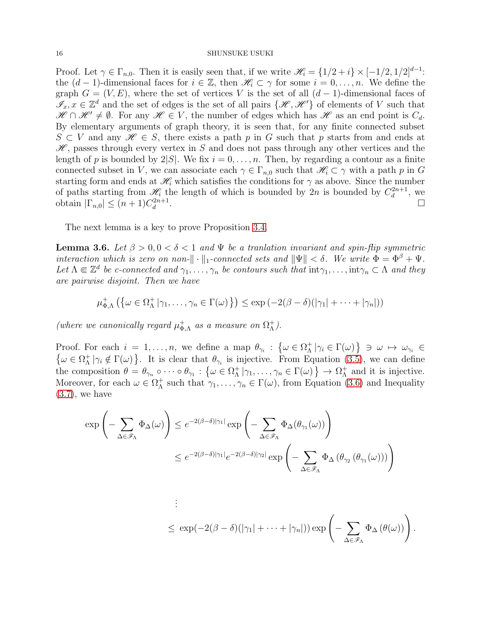Proof. Let  $\gamma \in \Gamma_{n,0}$ . Then it is easily seen that, if we write  $\mathcal{H}_i = \{1/2 + i\} \times [-1/2, 1/2]^{d-1}$ . the  $(d-1)$ -dimensional faces for  $i \in \mathbb{Z}$ , then  $\mathscr{H}_i \subset \gamma$  for some  $i = 0, \ldots, n$ . We define the graph  $G = (V, E)$ , where the set of vertices V is the set of all  $(d-1)$ -dimensional faces of  $\mathscr{I}_x, x \in \mathbb{Z}^d$  and the set of edges is the set of all pairs  $\{\mathscr{H}, \mathscr{H}'\}$  of elements of V such that  $\mathscr{H} \cap \mathscr{H}' \neq \emptyset$ . For any  $\mathscr{H} \in V$ , the number of edges which has  $\mathscr{H}$  as an end point is  $C_d$ . By elementary arguments of graph theory, it is seen that, for any finite connected subset  $S \subset V$  and any  $\mathscr{H} \in S$ , there exists a path p in G such that p starts from and ends at  $\mathscr{H}$ , passes through every vertex in S and does not pass through any other vertices and the length of p is bounded by  $2|S|$ . We fix  $i = 0, \ldots, n$ . Then, by regarding a contour as a finite connected subset in V, we can associate each  $\gamma \in \Gamma_{n,0}$  such that  $\mathscr{H}_{i} \subset \gamma$  with a path p in G starting form and ends at  $\mathcal{H}_i$  which satisfies the conditions for  $\gamma$  as above. Since the number of paths starting from  $\mathcal{H}_i$  the length of which is bounded by  $2n$  is bounded by  $C_d^{2n+1}$  $\frac{d^{2n+1}}{d}$ , we obtain  $|\Gamma_{n,0}| \leq (n+1)C_d^{2n+1}$ d .

The next lemma is a key to prove Proposition [3.4.](#page-11-0)

<span id="page-15-0"></span>**Lemma 3.6.** Let  $\beta > 0, 0 < \delta < 1$  and  $\Psi$  be a transaction invariant and spin-flip symmetric interaction which is zero on non- $\|\cdot\|_1$ -connected sets and  $\|\Psi\| < \delta$ . We write  $\Phi = \Phi^{\beta} + \Psi$ . Let  $\Lambda \Subset \mathbb{Z}^d$  be c-connected and  $\gamma_1, \ldots, \gamma_n$  be contours such that  $\mathrm{int}\gamma_1, \ldots, \mathrm{int}\gamma_n \subset \Lambda$  and they are pairwise disjoint. Then we have

$$
\mu_{\Phi,\Lambda}^+ \left( \left\{ \omega \in \Omega_\Lambda^+ \left| \gamma_1, \ldots, \gamma_n \in \Gamma(\omega) \right. \right\} \right) \le \exp \left( -2(\beta - \delta)(\left| \gamma_1 \right| + \cdots + \left| \gamma_n \right|) \right)
$$

(where we canonically regard  $\mu_{\Phi}^{+}$  $_{\Phi,\Lambda}^+$  as a measure on  $\Omega_\Lambda^+$ Λ ).

Proof. For each  $i = 1, ..., n$ , we define a map  $\theta_{\gamma_i} : \{\omega \in \Omega_{\Lambda}^+\}$  $\Lambda^{\dagger} \mid \gamma_i \in \Gamma(\omega) \} \ni \omega \mapsto \omega_{\gamma_i} \in$  $\{\omega \in \Omega_{\Lambda}^+$  $\Lambda^+ \gamma_i \notin \Gamma(\omega)$ . It is clear that  $\theta_{\gamma_i}$  is injective. From Equation [\(3.5\)](#page-13-0), we can define the composition  $\theta = \theta_{\gamma_n} \circ \cdots \circ \theta_{\gamma_1} : \{\omega \in \Omega_{\Lambda}^+\}\$  $\Lambda^+ \mid \gamma_1, \ldots, \gamma_n \in \Gamma(\omega) \} \to \Omega^+_{\Lambda}$  $<sub>\Lambda</sub><sup>+</sup>$  and it is injective.</sub> Moreover, for each  $\omega \in \Omega_{\Lambda}^{+}$  $\Lambda^+$  such that  $\gamma_1, \ldots, \gamma_n \in \Gamma(\omega)$ , from Equation [\(3.6\)](#page-14-0) and Inequality  $(3.7)$ , we have

$$
\exp\left(-\sum_{\Delta \in \mathscr{F}_{\Lambda}} \Phi_{\Delta}(\omega)\right) \leq e^{-2(\beta-\delta)|\gamma_1|} \exp\left(-\sum_{\Delta \in \mathscr{F}_{\Lambda}} \Phi_{\Delta}(\theta_{\gamma_1}(\omega))\right)
$$
  

$$
\leq e^{-2(\beta-\delta)|\gamma_1|} e^{-2(\beta-\delta)|\gamma_2|} \exp\left(-\sum_{\Delta \in \mathscr{F}_{\Lambda}} \Phi_{\Delta}(\theta_{\gamma_2}(\theta_{\gamma_1}(\omega)))\right)
$$

. . .  $\leq \exp(-2(\beta-\delta)(|\gamma_1|+\cdots+|\gamma_n|))\exp\left(-\sum\right)$  $\Delta \in \mathscr{F}_\Lambda$  $\Phi_{\Delta}(\theta(\omega))$ .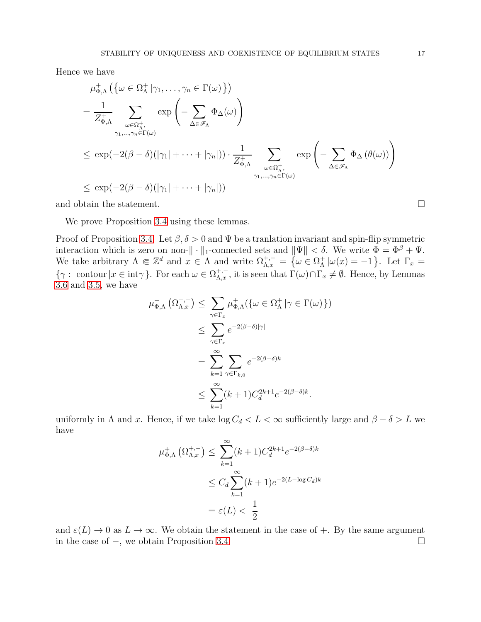Hence we have

$$
\mu_{\Phi,\Lambda}^{+} \left( \{ \omega \in \Omega_{\Lambda}^{+} \mid \gamma_{1}, \ldots, \gamma_{n} \in \Gamma(\omega) \} \right)
$$
\n
$$
= \frac{1}{Z_{\Phi,\Lambda}^{+}} \sum_{\omega \in \Omega_{\Lambda}^{+}, \atop \gamma_{1}, \ldots, \gamma_{n} \in \Gamma(\omega)} \exp \left( - \sum_{\Delta \in \mathscr{F}_{\Lambda}} \Phi_{\Delta}(\omega) \right)
$$
\n
$$
\leq \exp(-2(\beta - \delta)(|\gamma_{1}| + \cdots + |\gamma_{n}|)) \cdot \frac{1}{Z_{\Phi,\Lambda}^{+}} \sum_{\omega \in \Omega_{\Lambda}^{+}, \atop \gamma_{1}, \ldots, \gamma_{n} \in \Gamma(\omega)} \exp \left( - \sum_{\Delta \in \mathscr{F}_{\Lambda}} \Phi_{\Delta}(\theta(\omega)) \right)
$$
\n
$$
\leq \exp(-2(\beta - \delta)(|\gamma_{1}| + \cdots + |\gamma_{n}|))
$$

and obtain the statement.  $\Box$ 

We prove Proposition [3.4](#page-11-0) using these lemmas.

Proof of Proposition [3.4.](#page-11-0) Let  $\beta$ ,  $\delta > 0$  and  $\Psi$  be a tranlation invariant and spin-flip symmetric interaction which is zero on non- $\|\cdot\|_1$ -connected sets and  $\|\Psi\| < \delta$ . We write  $\Phi = \Phi^{\beta} + \Psi$ . We take arbitrary  $\Lambda \Subset \mathbb{Z}^d$  and  $x \in \Lambda$  and write  $\Omega_{\Lambda,x}^{+,-} = \{ \omega \in \Omega_{\Lambda}^+ \}$  $_{\Lambda}^{+}\left\vert \omega(x)=-1\right.$  Let  $\Gamma_{x}$  =  $\{\gamma: \text{ contour } | x \in \text{int}\gamma\}.$  For each  $\omega \in \Omega^{+,-}_{\Lambda,x}$ , it is seen that  $\Gamma(\omega) \cap \Gamma_x \neq \emptyset$ . Hence, by Lemmas [3.6](#page-15-0) and [3.5,](#page-14-2) we have

$$
\mu_{\Phi,\Lambda}^{+}(\Omega_{\Lambda,x}^{+,-}) \leq \sum_{\gamma \in \Gamma_x} \mu_{\Phi,\Lambda}^{+}(\{\omega \in \Omega_{\Lambda}^{+} | \gamma \in \Gamma(\omega)\})
$$
  

$$
\leq \sum_{\gamma \in \Gamma_x} e^{-2(\beta - \delta)|\gamma|}
$$
  

$$
= \sum_{k=1}^{\infty} \sum_{\gamma \in \Gamma_{k,0}} e^{-2(\beta - \delta)k}
$$
  

$$
\leq \sum_{k=1}^{\infty} (k+1) C_d^{2k+1} e^{-2(\beta - \delta)k}.
$$

uniformly in  $\Lambda$  and x. Hence, if we take  $\log C_d < L < \infty$  sufficiently large and  $\beta - \delta > L$  we have

$$
\mu_{\Phi,\Lambda}^{+}(\Omega_{\Lambda,x}^{+,-}) \leq \sum_{k=1}^{\infty} (k+1)C_d^{2k+1} e^{-2(\beta-\delta)k}
$$
  

$$
\leq C_d \sum_{k=1}^{\infty} (k+1) e^{-2(L-\log C_d)k}
$$
  

$$
= \varepsilon(L) < \frac{1}{2}
$$

and  $\varepsilon(L) \to 0$  as  $L \to \infty$ . We obtain the statement in the case of  $+$ . By the same argument in the case of −, we obtain Proposition [3.4.](#page-11-0)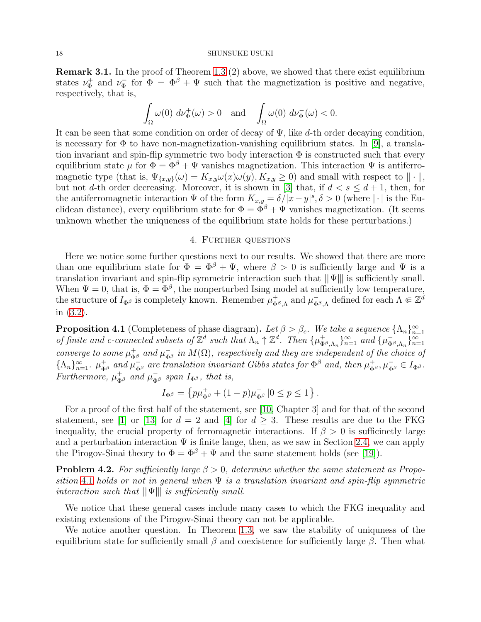#### 18 SHUNSUKE USUKI

<span id="page-17-1"></span>Remark 3.1. In the proof of Theorem [1.3](#page-2-1) (2) above, we showed that there exist equilibrium states  $\nu_{\Phi}^+$  $\nu_{\Phi}^+$  and  $\nu_{\Phi}^ \bar{\phi}$  for  $\Phi = \Phi^{\beta} + \Psi$  such that the magnetization is positive and negative, respectively, that is,

$$
\int_{\Omega} \omega(0) d\nu_{\Phi}^{+}(\omega) > 0 \text{ and } \int_{\Omega} \omega(0) d\nu_{\Phi}^{-}(\omega) < 0.
$$

It can be seen that some condition on order of decay of  $\Psi$ , like d-th order decaying condition, is necessary for  $\Phi$  to have non-magnetization-vanishing equilibrium states. In [\[9\]](#page-19-7), a translation invariant and spin-flip symmetric two body interaction  $\Phi$  is constructed such that every equilibrium state  $\mu$  for  $\Phi = \Phi^{\beta} + \Psi$  vanishes magnetization. This interaction  $\Psi$  is antiferromagnetic type (that is,  $\Psi_{\{x,y\}}(\omega) = K_{x,y}\omega(x)\omega(y), K_{x,y} \ge 0$ ) and small with respect to  $\|\cdot\|$ , but not d-th order decreasing. Moreover, it is shown in [\[3\]](#page-19-18) that, if  $d < s \leq d+1$ , then, for the antiferromagnetic interaction  $\Psi$  of the form  $K_{x,y} = \delta/|x-y|^s$ ,  $\delta > 0$  (where  $|\cdot|$  is the Euclidean distance), every equilibrium state for  $\Phi = \Phi^{\beta} + \Psi$  vanishes magnetization. (It seems unknown whether the uniqueness of the equilibrium state holds for these perturbations.)

## 4. Further questions

<span id="page-17-0"></span>Here we notice some further questions next to our results. We showed that there are more than one equilibrium state for  $\Phi = \Phi^{\beta} + \Psi$ , where  $\beta > 0$  is sufficiently large and  $\Psi$  is a translation invariant and spin-flip symmetric interaction such that  $\|\Psi\|$  is sufficiently small. When  $\Psi = 0$ , that is,  $\Phi = \Phi^{\beta}$ , the nonperturbed Ising model at sufficiently low temperature, the structure of  $I_{\Phi^\beta}$  is completely known. Remember  $\mu_\Phi^+$  $_{\Phi^{\beta},\Lambda}^{+}$  and  $\mu_{\Phi}^{-}$  $\overline{\Phi}_{\beta,\Lambda}$  defined for each  $\Lambda \Subset \mathbb{Z}^d$ in [\(3.2\)](#page-10-0).

<span id="page-17-2"></span>**Proposition 4.1** (Completeness of phase diagram). Let  $\beta > \beta_c$ . We take a sequence  $\{\Lambda_n\}_{n=1}^{\infty}$  of finite and c-connected subsets of  $\mathbb{Z}^d$  such that  $\Lambda_n \uparrow \mathbb{Z}^d$ . Then  $\{\mu_{\Phi^\beta \Lambda_n}^+\}_{n=1}^{\infty}$  and  $\{\mu_{\Phi$  $_{\Phi^{\beta},\Lambda_n}^{\dagger}$  } $_{n=1}^{\infty}$  and { $\mu_{\Phi}^ \frac{1}{\Phi^{\beta}, \Lambda_n} \}_{n=1}^{\infty}$ converge to some  $\mu_{\Phi^{\beta}}^{+}$  and  $\mu_{\Phi^{\beta}}^{-}$  in  $M(\Omega)$ , respectively and they are independent of the choice of  $\{\Lambda_n\}_{n=1}^{\infty}$ .  $\mu_{\Phi^{\beta}}^+$  and  $\mu_{\Phi^{\beta}}^-$  are translation invariant Gibbs states for  $\Phi^{\beta}$  and, then  $\mu_{\Phi^{\beta}}^+$ ,  $\mu_{\Phi^{\beta}}^ \in I_{\Phi^{\beta}}$ . Furthermore,  $\mu_{\Phi^{\beta}}^{+}$  and  $\mu_{\Phi^{\beta}}^{-}$  span  $I_{\Phi^{\beta}}$ , that is,

$$
I_{\Phi^\beta}=\left\{p\mu_{\Phi^\beta}^++(1-p)\mu_{\Phi^\beta}^-\,|0\leq p\leq 1\right\}.
$$

For a proof of the first half of the statement, see [\[10,](#page-19-1) Chapter 3] and for that of the second statement, see [\[1\]](#page-19-2) or [\[13\]](#page-19-3) for  $d = 2$  and [\[4\]](#page-19-4) for  $d > 3$ . These results are due to the FKG inequality, the crucial property of ferromagnetic interactions. If  $\beta > 0$  is sufficinetly large and a perturbation interaction  $\Psi$  is finite lange, then, as we saw in Section [2.4,](#page-7-0) we can apply the Pirogov-Sinai theory to  $\Phi = \Phi^{\beta} + \Psi$  and the same statement holds (see [\[19\]](#page-19-13)).

**Problem 4.2.** For sufficiently large  $\beta > 0$ , determine whether the same statement as Propo-sition [4.1](#page-17-2) holds or not in general when  $\Psi$  is a translation invariant and spin-flip symmetric interaction such that  $\|\Psi\|$  is sufficiently small.

We notice that these general cases include many cases to which the FKG inequality and existing extensions of the Pirogov-Sinai theory can not be applicable.

We notice another question. In Theorem [1.3,](#page-2-1) we saw the stability of uniquness of the equilibrium state for sufficiently small  $\beta$  and coexistence for sufficiently large  $\beta$ . Then what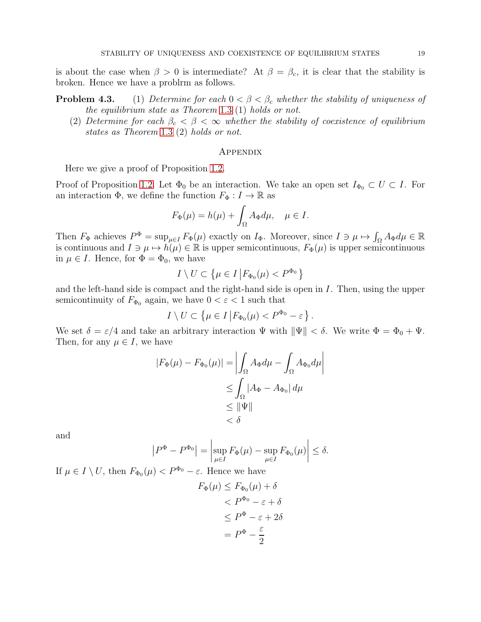is about the case when  $\beta > 0$  is intermediate? At  $\beta = \beta_c$ , it is clear that the stability is broken. Hence we have a problrm as follows.

**Problem 4.3.** (1) Determine for each  $0 < \beta < \beta_c$  whether the stability of uniqueness of the equilibrium state as Theorem [1.3](#page-2-1) (1) holds or not.

(2) Determine for each  $\beta_c < \beta < \infty$  whether the stability of coexistence of equilibrium states as Theorem [1.3](#page-2-1) (2) holds or not.

## **APPENDIX**

Here we give a proof of Proposition [1.2.](#page-2-0)

Proof of Proposition [1.2.](#page-2-0) Let  $\Phi_0$  be an interaction. We take an open set  $I_{\Phi_0} \subset U \subset I$ . For an interaction  $\Phi$ , we define the function  $F_{\Phi}: I \to \mathbb{R}$  as

$$
F_{\Phi}(\mu) = h(\mu) + \int_{\Omega} A_{\Phi} d\mu, \quad \mu \in I.
$$

Then  $F_{\Phi}$  achieves  $P^{\Phi} = \sup_{\mu \in I} F_{\Phi}(\mu)$  exactly on  $I_{\Phi}$ . Moreover, since  $I \ni \mu \mapsto \int_{\Omega} A_{\Phi} d\mu \in \mathbb{R}$ is continuous and  $I \ni \mu \mapsto h(\mu) \in \mathbb{R}$  is upper semicontinuous,  $F_{\Phi}(\mu)$  is upper semicontinuous in  $\mu \in I$ . Hence, for  $\Phi = \Phi_0$ , we have

$$
I\setminus U\subset \left\{\mu\in I\left|F_{\Phi_0}(\mu)
$$

and the left-hand side is compact and the right-hand side is open in  $I$ . Then, using the upper semicontinuity of  $F_{\Phi_0}$  again, we have  $0 < \varepsilon < 1$  such that

$$
I \setminus U \subset \left\{ \mu \in I \middle| F_{\Phi_0}(\mu) < P^{\Phi_0} - \varepsilon \right\}.
$$

We set  $\delta = \varepsilon/4$  and take an arbitrary interaction  $\Psi$  with  $\|\Psi\| < \delta$ . We write  $\Phi = \Phi_0 + \Psi$ . Then, for any  $\mu \in I$ , we have

$$
|F_{\Phi}(\mu) - F_{\Phi_0}(\mu)| = \left| \int_{\Omega} A_{\Phi} d\mu - \int_{\Omega} A_{\Phi_0} d\mu \right|
$$
  
\n
$$
\leq \int_{\Omega} |A_{\Phi} - A_{\Phi_0}| d\mu
$$
  
\n
$$
\leq \|\Psi\|
$$
  
\n
$$
< \delta
$$

and

$$
\left|P^{\Phi} - P^{\Phi_0}\right| = \left|\sup_{\mu \in I} F_{\Phi}(\mu) - \sup_{\mu \in I} F_{\Phi_0}(\mu)\right| \le \delta.
$$

If  $\mu \in I \setminus U$ , then  $F_{\Phi_0}(\mu) < P^{\Phi_0} - \varepsilon$ . Hence we have

$$
F_{\Phi}(\mu) \le F_{\Phi_0}(\mu) + \delta
$$
  

$$
< P^{\Phi_0} - \varepsilon + \delta
$$
  

$$
\le P^{\Phi} - \varepsilon + 2\delta
$$
  

$$
= P^{\Phi} - \frac{\varepsilon}{2}
$$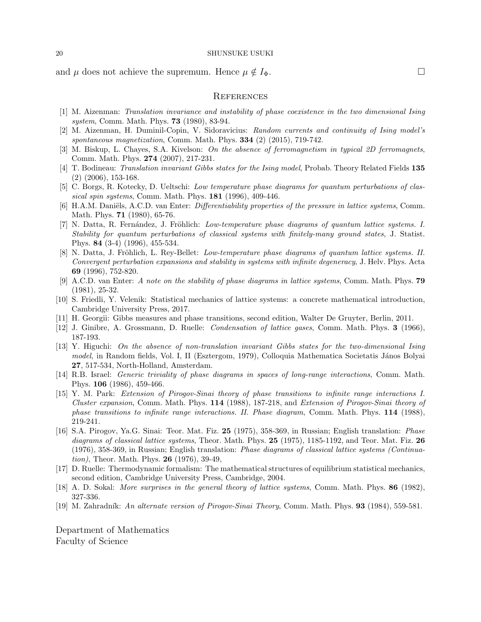and  $\mu$  does not achieve the supremum. Hence  $\mu \notin I_{\Phi}$ .

## **REFERENCES**

- <span id="page-19-5"></span><span id="page-19-2"></span>[1] M. Aizenman: Translation invariance and instability of phase coexistence in the two dimensional Ising system, Comm. Math. Phys. **73** (1980), 83-94.
- <span id="page-19-18"></span>[2] M. Aizenman, H. Duminil-Copin, V. Sidoravicius: Random currents and continuity of Ising model's spontaneous magnetization, Comm. Math. Phys.  $334$  (2) (2015), 719-742.
- <span id="page-19-4"></span>[3] M. Biskup, L. Chayes, S.A. Kivelson: On the absence of ferromagnetism in typical 2D ferromagnets, Comm. Math. Phys. 274 (2007), 217-231.
- <span id="page-19-15"></span>[4] T. Bodineau: Translation invariant Gibbs states for the Ising model, Probab. Theory Related Fields 135 (2) (2006), 153-168.
- <span id="page-19-6"></span>[5] C. Borgs, R. Kotecky, D. Ueltschi: Low temperature phase diagrams for quantum perturbations of classical spin systems, Comm. Math. Phys.  $181$  (1996), 409-446.
- [6] H.A.M. Daniëls, A.C.D. van Enter: *Differentiability properties of the pressure in lattice systems*, Comm. Math. Phys. 71 (1980), 65-76.
- <span id="page-19-16"></span>[7] N. Datta, R. Fernández, J. Fröhlich: Low-temperature phase diagrams of quantum lattice systems. I. Stability for quantum perturbations of classical systems with finitely-many ground states, J. Statist. Phys. 84 (3-4) (1996), 455-534.
- <span id="page-19-17"></span>[8] N. Datta, J. Fröhlich, L. Rey-Bellet: *Low-temperature phase diagrams of quantum lattice systems. II.* Convergent perturbation expansions and stability in systems with infinite degeneracy, J. Helv. Phys. Acta 69 (1996), 752-820.
- <span id="page-19-7"></span>[9] A.C.D. van Enter: A note on the stability of phase diagrams in lattice systems, Comm. Math. Phys. 79 (1981), 25-32.
- <span id="page-19-1"></span>[10] S. Friedli, Y. Velenik: Statistical mechanics of lattice systems: a concrete mathematical introduction, Cambridge University Press, 2017.
- <span id="page-19-11"></span><span id="page-19-10"></span>[11] H. Georgii: Gibbs measures and phase transitions, second edition, Walter De Gruyter, Berlin, 2011.
- <span id="page-19-3"></span>[12] J. Ginibre, A. Grossmann, D. Ruelle: Condensation of lattice gases, Comm. Math. Phys. 3 (1966), 187-193.
- [13] Y. Higuchi: On the absence of non-translation invariant Gibbs states for the two-dimensional Ising model, in Random fields, Vol. I, II (Esztergom, 1979), Colloquia Mathematica Societatis János Bolyai 27, 517-534, North-Holland, Amsterdam.
- <span id="page-19-9"></span>[14] R.B. Israel: Generic triviality of phase diagrams in spaces of long-range interactions, Comm. Math. Phys. 106 (1986), 459-466.
- <span id="page-19-14"></span>[15] Y. M. Park: Extension of Pirogov-Sinai theory of phase transitions to infinite range interactions I. Cluster expansion, Comm. Math. Phys. 114 (1988), 187-218, and Extension of Pirogov-Sinai theory of phase transitions to infinite range interactions. II. Phase diagram, Comm. Math. Phys. 114 (1988), 219-241.
- <span id="page-19-12"></span>[16] S.A. Pirogov, Ya.G. Sinai: Teor. Mat. Fiz. 25 (1975), 358-369, in Russian; English translation: Phase diagrams of classical lattice systems, Theor. Math. Phys. 25 (1975), 1185-1192, and Teor. Mat. Fiz. 26 (1976), 358-369, in Russian; English translation: Phase diagrams of classical lattice systems (Continuation), Theor. Math. Phys. 26 (1976), 39-49,
- <span id="page-19-0"></span>[17] D. Ruelle: Thermodynamic formalism: The mathematical structures of equilibrium statistical mechanics, second edition, Cambridge University Press, Cambridge, 2004.
- <span id="page-19-13"></span><span id="page-19-8"></span>[18] A. D. Sokal: More surprises in the general theory of lattice systems, Comm. Math. Phys. 86 (1982), 327-336.
- [19] M. Zahradník: An alternate version of Pirogov-Sinai Theory, Comm. Math. Phys. 93 (1984), 559-581.

Department of Mathematics Faculty of Science